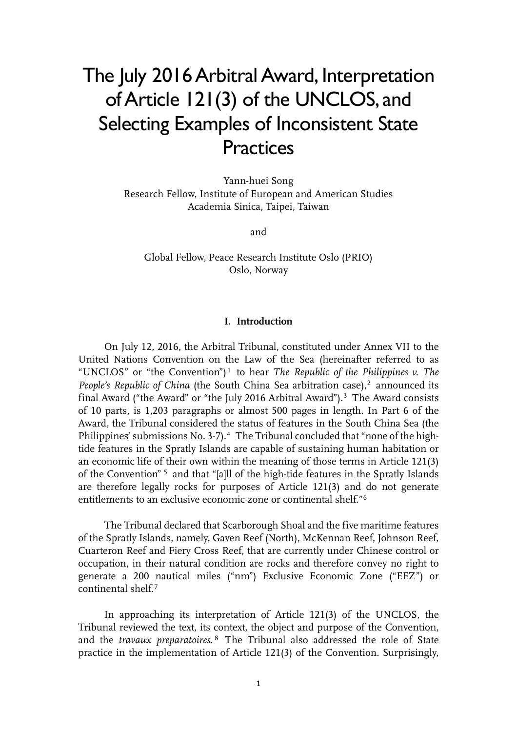# The July 2016 Arbitral Award, Interpretation ofArticle 121(3) of the UNCLOS, and Selecting Examples of Inconsistent State **Practices**

Yann-huei Song Research Fellow, Institute of European and American Studies Academia Sinica, Taipei, Taiwan

and

Global Fellow, Peace Research Institute Oslo (PRIO) Oslo, Norway

## **I. Introduction**

On July 12, 2016, the Arbitral Tribunal, constituted under Annex VII to the United Nations Convention on the Law of the Sea (hereinafter referred to as "UNCLOS" or "the Convention")[1](#page-17-0) to hear *The Republic of the Philippines v. The People's Republic of China* (the South China Sea arbitration case),<sup>[2](#page-17-1)</sup> announced its final Award ("the Award" or "the July 2016 Arbitral Award").[3](#page-17-2) The Award consists of 10 parts, is 1,203 paragraphs or almost 500 pages in length. In Part 6 of the Award, the Tribunal considered the status of features in the South China Sea (the Philippines' submissions No. 3-7).<sup>[4](#page-17-3)</sup> The Tribunal concluded that "none of the hightide features in the Spratly Islands are capable of sustaining human habitation or an economic life of their own within the meaning of those terms in Article 121(3) of the Convention" [5](#page-17-4) and that "[a]ll of the high-tide features in the Spratly Islands are therefore legally rocks for purposes of Article 121(3) and do not generate entitlements to an exclusive economic zone or continental shelf."[6](#page-17-5)

The Tribunal declared that Scarborough Shoal and the five maritime features of the Spratly Islands, namely, Gaven Reef (North), McKennan Reef, Johnson Reef, Cuarteron Reef and Fiery Cross Reef, that are currently under Chinese control or occupation, in their natural condition are rocks and therefore convey no right to generate a 200 nautical miles ("nm") Exclusive Economic Zone ("EEZ") or continental shelf.[7](#page-17-6)

In approaching its interpretation of Article 121(3) of the UNCLOS, the Tribunal reviewed the text, its context, the object and purpose of the Convention, and the *travaux preparatoires*. [8](#page-17-7) The Tribunal also addressed the role of State practice in the implementation of Article 121(3) of the Convention. Surprisingly,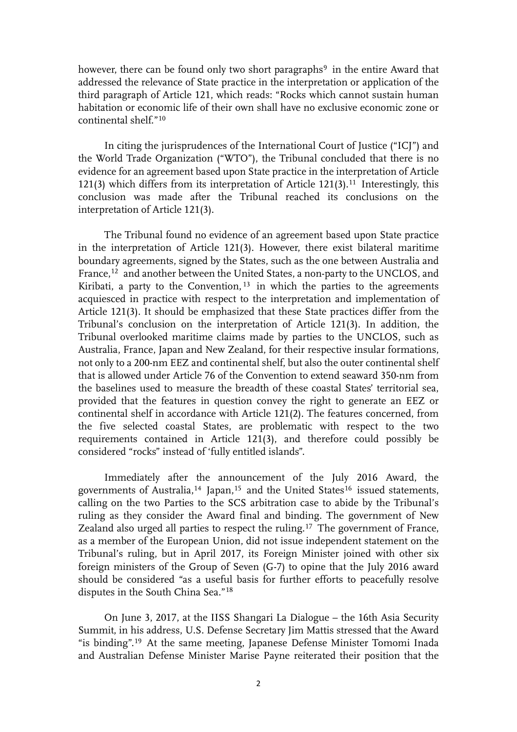however, there can be found only two short paragraphs<sup>9</sup> in the entire Award that addressed the relevance of State practice in the interpretation or application of the third paragraph of Article 121, which reads: "Rocks which cannot sustain human habitation or economic life of their own shall have no exclusive economic zone or continental shelf."[10](#page-17-9)

In citing the jurisprudences of the International Court of Justice ("ICJ") and the World Trade Organization ("WTO"), the Tribunal concluded that there is no evidence for an agreement based upon State practice in the interpretation of Article 121(3) which differs from its interpretation of Article  $121(3)$ .<sup>[11](#page-17-10)</sup> Interestingly, this conclusion was made after the Tribunal reached its conclusions on the interpretation of Article 121(3).

The Tribunal found no evidence of an agreement based upon State practice in the interpretation of Article 121(3). However, there exist bilateral maritime boundary agreements, signed by the States, such as the one between Australia and France,<sup>[12](#page-17-11)</sup> and another between the United States, a non-party to the UNCLOS, and Kiribati, a party to the Convention,<sup>[13](#page-17-12)</sup> in which the parties to the agreements acquiesced in practice with respect to the interpretation and implementation of Article 121(3). It should be emphasized that these State practices differ from the Tribunal's conclusion on the interpretation of Article 121(3). In addition, the Tribunal overlooked maritime claims made by parties to the UNCLOS, such as Australia, France, Japan and New Zealand, for their respective insular formations, not only to a 200-nm EEZ and continental shelf, but also the outer continental shelf that is allowed under Article 76 of the Convention to extend seaward 350-nm from the baselines used to measure the breadth of these coastal States' territorial sea, provided that the features in question convey the right to generate an EEZ or continental shelf in accordance with Article 121(2). The features concerned, from the five selected coastal States, are problematic with respect to the two requirements contained in Article 121(3), and therefore could possibly be considered "rocks" instead of 'fully entitled islands".

Immediately after the announcement of the July 2016 Award, the governments of Australia,<sup>[14](#page-17-13)</sup> Japan,<sup>[15](#page-17-14)</sup> and the United States<sup>[16](#page-17-15)</sup> issued statements, calling on the two Parties to the SCS arbitration case to abide by the Tribunal's ruling as they consider the Award final and binding. The government of New Zealand also urged all parties to respect the ruling.[17](#page-17-16) The government of France, as a member of the European Union, did not issue independent statement on the Tribunal's ruling, but in April 2017, its Foreign Minister joined with other six foreign ministers of the Group of Seven (G-7) to opine that the July 2016 award should be considered "as a useful basis for further efforts to peacefully resolve disputes in the South China Sea."[18](#page-17-17)

On June 3, 2017, at the IISS Shangari La Dialogue – the 16th Asia Security Summit, in his address, U.S. Defense Secretary Jim Mattis stressed that the Award "is binding".[19](#page-17-18) At the same meeting, Japanese Defense Minister Tomomi Inada and Australian Defense Minister Marise Payne reiterated their position that the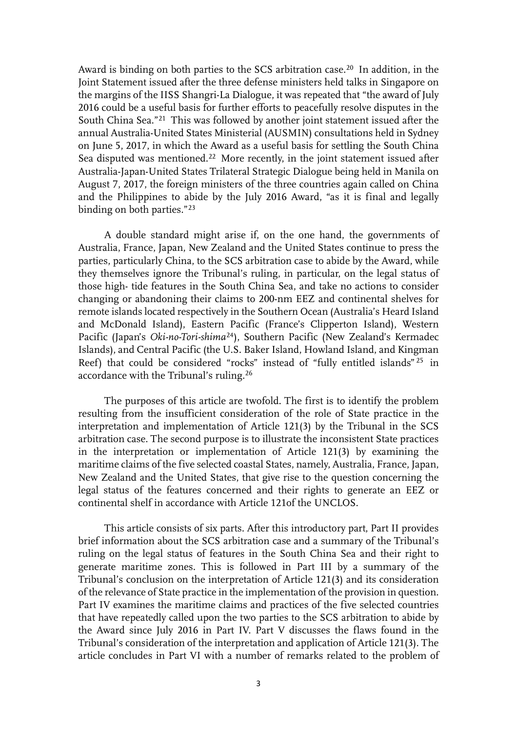Award is binding on both parties to the SCS arbitration case.<sup>[20](#page-17-19)</sup> In addition, in the Joint Statement issued after the three defense ministers held talks in Singapore on the margins of the IISS Shangri-La Dialogue, it was repeated that "the award of July 2016 could be a useful basis for further efforts to peacefully resolve disputes in the South China Sea."[21](#page-18-0) This was followed by another joint statement issued after the annual Australia-United States Ministerial (AUSMIN) consultations held in Sydney on June 5, 2017, in which the Award as a useful basis for settling the South China Sea disputed was mentioned.<sup>[22](#page-18-1)</sup> More recently, in the joint statement issued after Australia-Japan-United States Trilateral Strategic Dialogue being held in Manila on August 7, 2017, the foreign ministers of the three countries again called on China and the Philippines to abide by the July 2016 Award, "as it is final and legally binding on both parties."[23](#page-18-2)

A double standard might arise if, on the one hand, the governments of Australia, France, Japan, New Zealand and the United States continue to press the parties, particularly China, to the SCS arbitration case to abide by the Award, while they themselves ignore the Tribunal's ruling, in particular, on the legal status of those high- tide features in the South China Sea, and take no actions to consider changing or abandoning their claims to 200-nm EEZ and continental shelves for remote islands located respectively in the Southern Ocean (Australia's Heard Island and McDonald Island), Eastern Pacific (France's Clipperton Island), Western Pacific (Japan's *Oki-no-Tori-shima*[24](#page-18-3)), Southern Pacific (New Zealand's Kermadec Islands), and Central Pacific (the U.S. Baker Island, Howland Island, and Kingman Reef) that could be considered "rocks" instead of "fully entitled islands" [25](#page-18-4) in accordance with the Tribunal's ruling.[26](#page-18-5)

The purposes of this article are twofold. The first is to identify the problem resulting from the insufficient consideration of the role of State practice in the interpretation and implementation of Article 121(3) by the Tribunal in the SCS arbitration case. The second purpose is to illustrate the inconsistent State practices in the interpretation or implementation of Article 121(3) by examining the maritime claims of the five selected coastal States, namely, Australia, France, Japan, New Zealand and the United States, that give rise to the question concerning the legal status of the features concerned and their rights to generate an EEZ or continental shelf in accordance with Article 121of the UNCLOS.

This article consists of six parts. After this introductory part, Part II provides brief information about the SCS arbitration case and a summary of the Tribunal's ruling on the legal status of features in the South China Sea and their right to generate maritime zones. This is followed in Part III by a summary of the Tribunal's conclusion on the interpretation of Article 121(3) and its consideration of the relevance of State practice in the implementation of the provision in question. Part IV examines the maritime claims and practices of the five selected countries that have repeatedly called upon the two parties to the SCS arbitration to abide by the Award since July 2016 in Part IV. Part V discusses the flaws found in the Tribunal's consideration of the interpretation and application of Article 121(3). The article concludes in Part VI with a number of remarks related to the problem of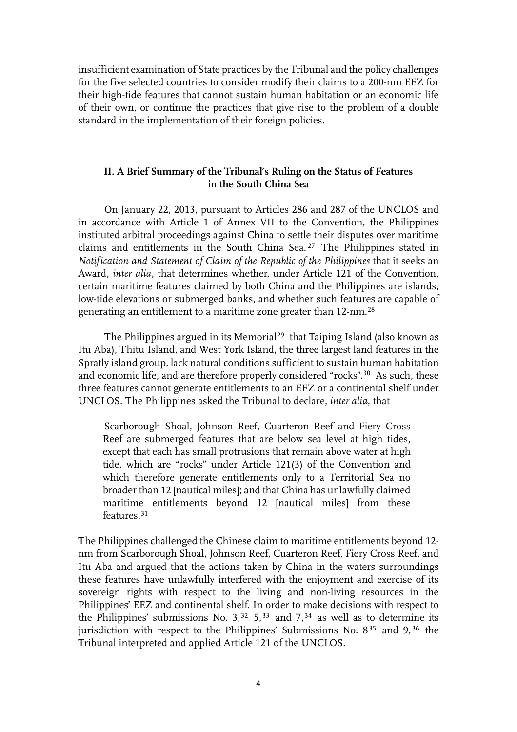insufficient examination of State practices by the Tribunal and the policy challenges for the five selected countries to consider modify their claims to a 200-nm EEZ for their high-tide features that cannot sustain human habitation or an economic life of their own, or continue the practices that give rise to the problem of a double standard in the implementation of their foreign policies.

# **II. A Brief Summary of the Tribunal's Ruling on the Status of Features in the South China Sea**

On January 22, 2013, pursuant to Articles 286 and 287 of the UNCLOS and in accordance with Article 1 of Annex VII to the Convention, the Philippines instituted arbitral proceedings against China to settle their disputes over maritime claims and entitlements in the South China Sea. [27](#page-18-6) The Philippines stated in *Notification and Statement of Claim of the Republic of the Philippines* that it seeks an Award, *inter alia*, that determines whether, under Article 121 of the Convention, certain maritime features claimed by both China and the Philippines are islands, low-tide elevations or submerged banks, and whether such features are capable of generating an entitlement to a maritime zone greater than 12-nm.[28](#page-18-7)

The Philippines argued in its Memorial<sup>[29](#page-18-8)</sup> that Taiping Island (also known as Itu Aba), Thitu Island, and West York Island, the three largest land features in the Spratly island group, lack natural conditions sufficient to sustain human habitation and economic life, and are therefore properly considered "rocks".[30](#page-18-9) As such, these three features cannot generate entitlements to an EEZ or a continental shelf under UNCLOS. The Philippines asked the Tribunal to declare, *inter alia*, that

Scarborough Shoal, Johnson Reef, Cuarteron Reef and Fiery Cross Reef are submerged features that are below sea level at high tides, except that each has small protrusions that remain above water at high tide, which are "rocks" under Article 121(3) of the Convention and which therefore generate entitlements only to a Territorial Sea no broader than 12 [nautical miles]; and that China has unlawfully claimed maritime entitlements beyond 12 [nautical miles] from these features.[31](#page-18-10)

The Philippines challenged the Chinese claim to maritime entitlements beyond 12 nm from Scarborough Shoal, Johnson Reef, Cuarteron Reef, Fiery Cross Reef, and Itu Aba and argued that the actions taken by China in the waters surroundings these features have unlawfully interfered with the enjoyment and exercise of its sovereign rights with respect to the living and non-living resources in the Philippines' EEZ and continental shelf. In order to make decisions with respect to the Philippines' submissions No.  $3^{32}$  $3^{32}$  $3^{32}$  5,<sup>[33](#page-18-12)</sup> and 7,<sup>[34](#page-18-13)</sup> as well as to determine its jurisdiction with respect to the Philippines' Submissions No.  $8^{35}$  $8^{35}$  $8^{35}$  and  $9^{36}$  $9^{36}$  $9^{36}$  the Tribunal interpreted and applied Article 121 of the UNCLOS.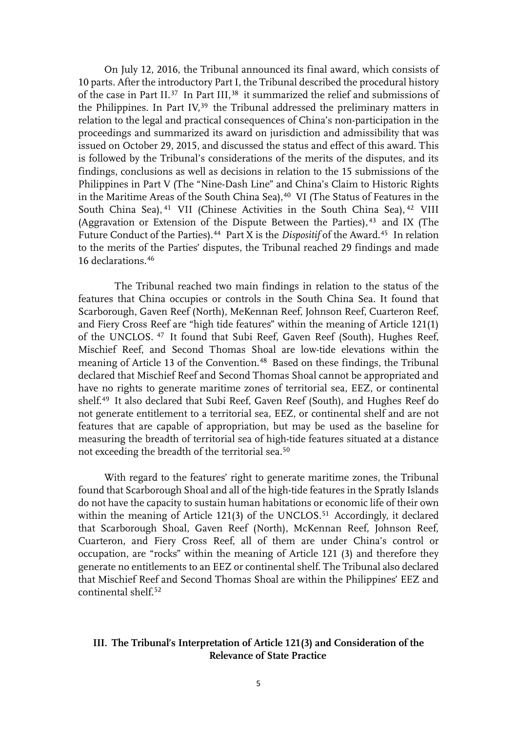On July 12, 2016, the Tribunal announced its final award, which consists of 10 parts. After the introductory Part I, the Tribunal described the procedural history of the case in Part II.[37](#page-18-16) In Part III,[38](#page-18-17) it summarized the relief and submissions of the Philippines. In Part IV,<sup>[39](#page-18-18)</sup> the Tribunal addressed the preliminary matters in relation to the legal and practical consequences of China's non-participation in the proceedings and summarized its award on jurisdiction and admissibility that was issued on October 29, 2015, and discussed the status and effect of this award. This is followed by the Tribunal's considerations of the merits of the disputes, and its findings, conclusions as well as decisions in relation to the 15 submissions of the Philippines in Part V (The "Nine-Dash Line" and China's Claim to Historic Rights in the Maritime Areas of the South China Sea), $40$  VI (The Status of Features in the South China Sea), <sup>[41](#page-18-20)</sup> VII (Chinese Activities in the South China Sea), <sup>[42](#page-18-21)</sup> VIII (Aggravation or Extension of the Dispute Between the Parties), [43](#page-18-22) and IX (The Future Conduct of the Parties).<sup>[44](#page-18-23)</sup> Part X is the *Dispositif* of the Award.<sup>[45](#page-19-0)</sup> In relation to the merits of the Parties' disputes, the Tribunal reached 29 findings and made 16 declarations.[46](#page-19-1)

 The Tribunal reached two main findings in relation to the status of the features that China occupies or controls in the South China Sea. It found that Scarborough, Gaven Reef (North), MeKennan Reef, Johnson Reef, Cuarteron Reef, and Fiery Cross Reef are "high tide features" within the meaning of Article 121(1) of the UNCLOS. [47](#page-19-2) It found that Subi Reef, Gaven Reef (South), Hughes Reef, Mischief Reef, and Second Thomas Shoal are low-tide elevations within the meaning of Article 13 of the Convention.<sup>[48](#page-19-3)</sup> Based on these findings, the Tribunal declared that Mischief Reef and Second Thomas Shoal cannot be appropriated and have no rights to generate maritime zones of territorial sea, EEZ, or continental shelf.[49](#page-19-4) It also declared that Subi Reef, Gaven Reef (South), and Hughes Reef do not generate entitlement to a territorial sea, EEZ, or continental shelf and are not features that are capable of appropriation, but may be used as the baseline for measuring the breadth of territorial sea of high-tide features situated at a distance not exceeding the breadth of the territorial sea[.50](#page-19-5)

With regard to the features' right to generate maritime zones, the Tribunal found that Scarborough Shoal and all of the high-tide features in the Spratly Islands do not have the capacity to sustain human habitations or economic life of their own within the meaning of Article 121(3) of the UNCLOS.<sup>[51](#page-19-6)</sup> Accordingly, it declared that Scarborough Shoal, Gaven Reef (North), McKennan Reef, Johnson Reef, Cuarteron, and Fiery Cross Reef, all of them are under China's control or occupation, are "rocks" within the meaning of Article 121 (3) and therefore they generate no entitlements to an EEZ or continental shelf. The Tribunal also declared that Mischief Reef and Second Thomas Shoal are within the Philippines' EEZ and continental shelf.<sup>[52](#page-19-7)</sup>

# **III. The Tribunal's Interpretation of Article 121(3) and Consideration of the Relevance of State Practice**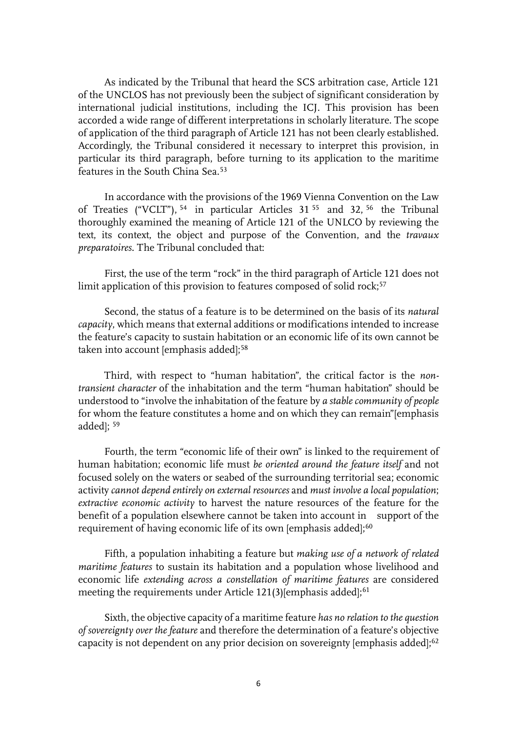As indicated by the Tribunal that heard the SCS arbitration case, Article 121 of the UNCLOS has not previously been the subject of significant consideration by international judicial institutions, including the ICJ. This provision has been accorded a wide range of different interpretations in scholarly literature. The scope of application of the third paragraph of Article 121 has not been clearly established. Accordingly, the Tribunal considered it necessary to interpret this provision, in particular its third paragraph, before turning to its application to the maritime features in the South China Sea.[53](#page-19-8)

In accordance with the provisions of the 1969 Vienna Convention on the Law of Treaties ("VCLT"), [54](#page-19-9) in particular Articles 31 [55](#page-19-10) and 32, [56](#page-19-11) the Tribunal thoroughly examined the meaning of Article 121 of the UNLCO by reviewing the text, its context, the object and purpose of the Convention, and the *travaux preparatoires*. The Tribunal concluded that:

First, the use of the term "rock" in the third paragraph of Article 121 does not limit application of this provision to features composed of solid rock;<sup>[57](#page-19-12)</sup>

Second, the status of a feature is to be determined on the basis of its *natural capacity*, which means that external additions or modifications intended to increase the feature's capacity to sustain habitation or an economic life of its own cannot be taken into account [emphasis added];<sup>[58](#page-19-13)</sup>

Third, with respect to "human habitation", the critical factor is the *nontransient character* of the inhabitation and the term "human habitation" should be understood to "involve the inhabitation of the feature by *a stable community of people* for whom the feature constitutes a home and on which they can remain"[emphasis added]; [59](#page-19-14)

Fourth, the term "economic life of their own" is linked to the requirement of human habitation; economic life must *be oriented around the feature itself* and not focused solely on the waters or seabed of the surrounding territorial sea; economic activity *cannot depend entirely on external resources* and *must involve a local population*; *extractive economic activity* to harvest the nature resources of the feature for the benefit of a population elsewhere cannot be taken into account in support of the requirement of having economic life of its own [emphasis added];<sup>[60](#page-19-15)</sup>

Fifth, a population inhabiting a feature but *making use of a network of related maritime features* to sustain its habitation and a population whose livelihood and economic life *extending across a constellation of maritime features* are considered meeting the requirements under Article 121(3)[emphasis added];<sup>[61](#page-19-16)</sup>

Sixth, the objective capacity of a maritime feature *has no relation to the question of sovereignty over the feature* and therefore the determination of a feature's objective capacity is not dependent on any prior decision on sovereignty [emphasis added];<sup>[62](#page-19-17)</sup>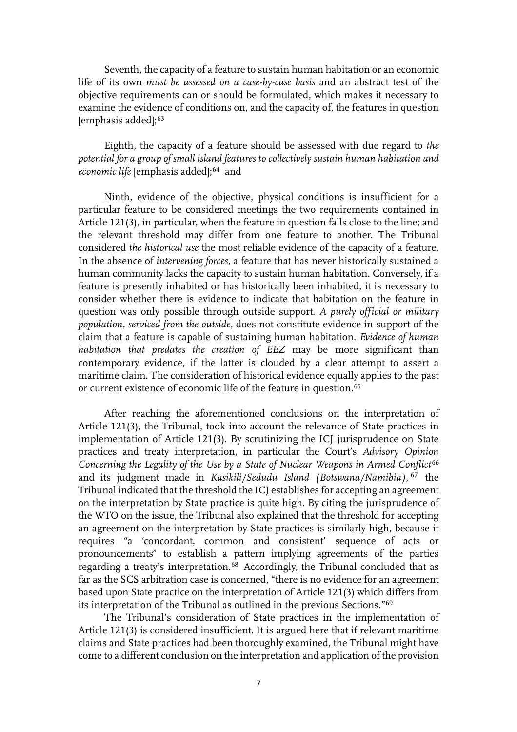Seventh, the capacity of a feature to sustain human habitation or an economic life of its own *must be assessed on a case-by-case basis* and an abstract test of the objective requirements can or should be formulated, which makes it necessary to examine the evidence of conditions on, and the capacity of, the features in question [emphasis added];<sup>[63](#page-20-0)</sup>

Eighth, the capacity of a feature should be assessed with due regard to *the potential for a group of small island features to collectively sustain human habitation and economic life* [emphasis added];<sup>[64](#page-20-1)</sup> and

Ninth, evidence of the objective, physical conditions is insufficient for a particular feature to be considered meetings the two requirements contained in Article 121(3), in particular, when the feature in question falls close to the line; and the relevant threshold may differ from one feature to another. The Tribunal considered *the historical use* the most reliable evidence of the capacity of a feature. In the absence of *intervening forces*, a feature that has never historically sustained a human community lacks the capacity to sustain human habitation. Conversely, if a feature is presently inhabited or has historically been inhabited, it is necessary to consider whether there is evidence to indicate that habitation on the feature in question was only possible through outside support. *A purely official or military population, serviced from the outside*, does not constitute evidence in support of the claim that a feature is capable of sustaining human habitation. *Evidence of human habitation that predates the creation of EEZ* may be more significant than contemporary evidence, if the latter is clouded by a clear attempt to assert a maritime claim. The consideration of historical evidence equally applies to the past or current existence of economic life of the feature in question.[65](#page-20-2)

 After reaching the aforementioned conclusions on the interpretation of Article 121(3), the Tribunal, took into account the relevance of State practices in implementation of Article 121(3). By scrutinizing the ICJ jurisprudence on State practices and treaty interpretation, in particular the Court's *Advisory Opinion Concerning the Legality of the Use by a State of Nuclear Weapons in Armed Conflict[66](#page-20-3)* and its judgment made in *Kasikili/Sedudu Island (Botswana/Namibia)*, [67](#page-20-4) the Tribunal indicated that the threshold the ICJ establishes for accepting an agreement on the interpretation by State practice is quite high. By citing the jurisprudence of the WTO on the issue, the Tribunal also explained that the threshold for accepting an agreement on the interpretation by State practices is similarly high, because it requires "a 'concordant, common and consistent' sequence of acts or pronouncements" to establish a pattern implying agreements of the parties regarding a treaty's interpretation.[68](#page-20-5) Accordingly, the Tribunal concluded that as far as the SCS arbitration case is concerned, "there is no evidence for an agreement based upon State practice on the interpretation of Article 121(3) which differs from its interpretation of the Tribunal as outlined in the previous Sections."[69](#page-20-6)

The Tribunal's consideration of State practices in the implementation of Article 121(3) is considered insufficient. It is argued here that if relevant maritime claims and State practices had been thoroughly examined, the Tribunal might have come to a different conclusion on the interpretation and application of the provision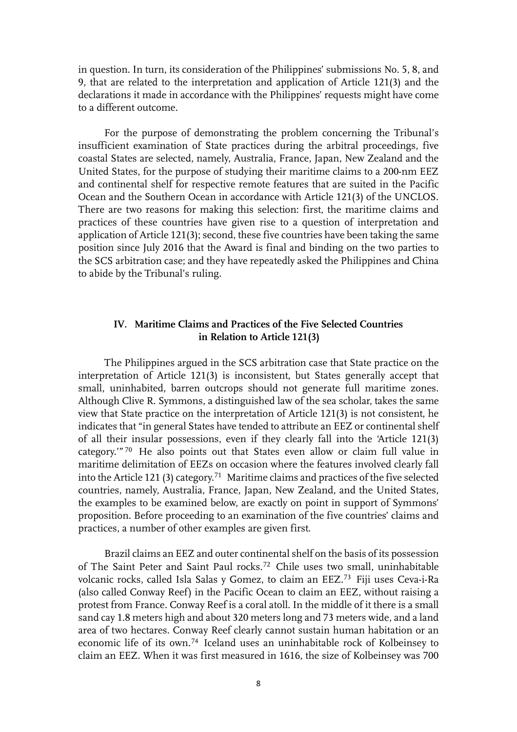in question. In turn, its consideration of the Philippines' submissions No. 5, 8, and 9, that are related to the interpretation and application of Article 121(3) and the declarations it made in accordance with the Philippines' requests might have come to a different outcome.

For the purpose of demonstrating the problem concerning the Tribunal's insufficient examination of State practices during the arbitral proceedings, five coastal States are selected, namely, Australia, France, Japan, New Zealand and the United States, for the purpose of studying their maritime claims to a 200-nm EEZ and continental shelf for respective remote features that are suited in the Pacific Ocean and the Southern Ocean in accordance with Article 121(3) of the UNCLOS. There are two reasons for making this selection: first, the maritime claims and practices of these countries have given rise to a question of interpretation and application of Article 121(3); second, these five countries have been taking the same position since July 2016 that the Award is final and binding on the two parties to the SCS arbitration case; and they have repeatedly asked the Philippines and China to abide by the Tribunal's ruling.

## **IV. Maritime Claims and Practices of the Five Selected Countries in Relation to Article 121(3)**

 The Philippines argued in the SCS arbitration case that State practice on the interpretation of Article 121(3) is inconsistent, but States generally accept that small, uninhabited, barren outcrops should not generate full maritime zones. Although Clive R. Symmons, a distinguished law of the sea scholar, takes the same view that State practice on the interpretation of Article 121(3) is not consistent, he indicates that "in general States have tended to attribute an EEZ or continental shelf of all their insular possessions, even if they clearly fall into the 'Article 121(3) category.'" [70](#page-20-7) He also points out that States even allow or claim full value in maritime delimitation of EEZs on occasion where the features involved clearly fall into the Article 121 (3) category.<sup>[71](#page-20-8)</sup> Maritime claims and practices of the five selected countries, namely, Australia, France, Japan, New Zealand, and the United States, the examples to be examined below, are exactly on point in support of Symmons' proposition. Before proceeding to an examination of the five countries' claims and practices, a number of other examples are given first.

Brazil claims an EEZ and outer continental shelf on the basis of its possession of The Saint Peter and Saint Paul rocks.[72](#page-20-9) Chile uses two small, uninhabitable volcanic rocks, called Isla Salas y Gomez, to claim an EEZ.[73](#page-20-10) Fiji uses Ceva-i-Ra (also called Conway Reef) in the Pacific Ocean to claim an EEZ, without raising a protest from France. Conway Reef is a coral atoll. In the middle of it there is a small sand cay 1.8 meters high and about 320 meters long and 73 meters wide, and a land area of two hectares. Conway Reef clearly cannot sustain human habitation or an economic life of its own.[74](#page-20-11) Iceland uses an uninhabitable rock of Kolbeinsey to claim an EEZ. When it was first measured in 1616, the size of Kolbeinsey was 700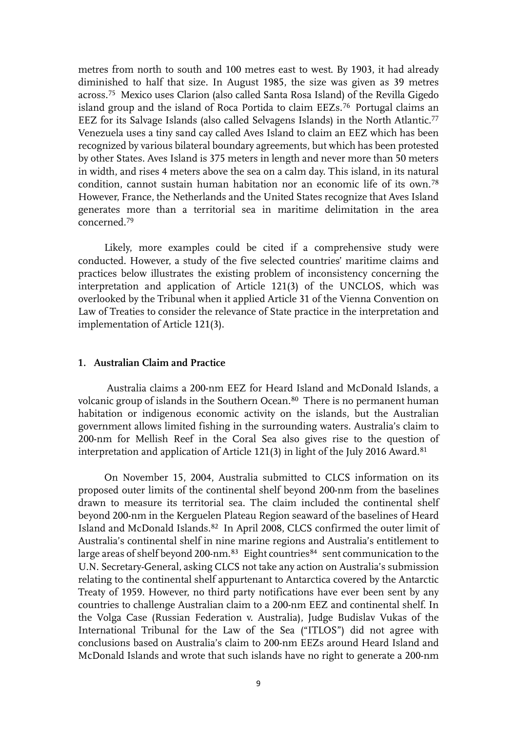metres from north to south and 100 metres east to west. By 1903, it had already diminished to half that size. In August 1985, the size was given as 39 metres across.[75](#page-20-12) Mexico uses Clarion (also called Santa Rosa Island) of the Revilla Gigedo island group and the island of Roca Portida to claim EEZs.<sup>[76](#page-20-13)</sup> Portugal claims an EEZ for its Salvage Islands (also called Selvagens Islands) in the North Atlantic.[77](#page-20-14) Venezuela uses a tiny sand cay called Aves Island to claim an EEZ which has been recognized by various bilateral boundary agreements, but which has been protested by other States. Aves Island is 375 meters in length and never more than 50 meters in width, and rises 4 meters above the sea on a calm day. This island, in its natural condition, cannot sustain human habitation nor an economic life of its own.[78](#page-20-15) However, France, the Netherlands and the United States recognize that Aves Island generates more than a territorial sea in maritime delimitation in the area concerned.[79](#page-20-16)

Likely, more examples could be cited if a comprehensive study were conducted. However, a study of the five selected countries' maritime claims and practices below illustrates the existing problem of inconsistency concerning the interpretation and application of Article 121(3) of the UNCLOS, which was overlooked by the Tribunal when it applied Article 31 of the Vienna Convention on Law of Treaties to consider the relevance of State practice in the interpretation and implementation of Article 121(3).

## **1. Australian Claim and Practice**

Australia claims a 200-nm EEZ for Heard Island and McDonald Islands, a volcanic group of islands in the Southern Ocean.<sup>[80](#page-20-17)</sup> There is no permanent human habitation or indigenous economic activity on the islands, but the Australian government allows limited fishing in the surrounding waters. Australia's claim to 200-nm for Mellish Reef in the Coral Sea also gives rise to the question of interpretation and application of Article 121(3) in light of the July 2016 Award.[81](#page-20-18)

 On November 15, 2004, Australia submitted to CLCS information on its proposed outer limits of the continental shelf beyond 200-nm from the baselines drawn to measure its territorial sea. The claim included the continental shelf beyond 200-nm in the Kerguelen Plateau Region seaward of the baselines of Heard Island and McDonald Islands.[82](#page-20-19) In April 2008, CLCS confirmed the outer limit of Australia's continental shelf in nine marine regions and Australia's entitlement to large areas of shelf beyond 200-nm.<sup>[83](#page-20-20)</sup> Eight countries<sup>[84](#page-20-21)</sup> sent communication to the U.N. Secretary-General, asking CLCS not take any action on Australia's submission relating to the continental shelf appurtenant to Antarctica covered by the Antarctic Treaty of 1959. However, no third party notifications have ever been sent by any countries to challenge Australian claim to a 200-nm EEZ and continental shelf. In the Volga Case (Russian Federation v. Australia), Judge Budislav Vukas of the International Tribunal for the Law of the Sea ("ITLOS") did not agree with conclusions based on Australia's claim to 200-nm EEZs around Heard Island and McDonald Islands and wrote that such islands have no right to generate a 200-nm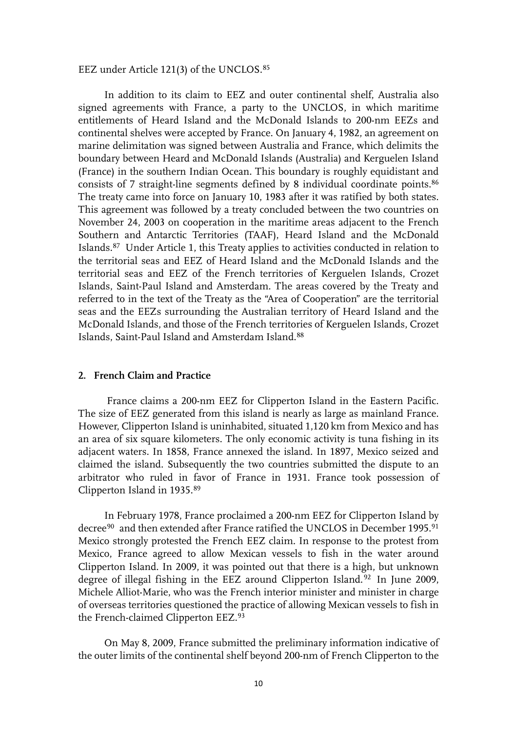#### EEZ under Article 121(3) of the UNCLOS.[85](#page-20-22)

 In addition to its claim to EEZ and outer continental shelf, Australia also signed agreements with France, a party to the UNCLOS, in which maritime entitlements of Heard Island and the McDonald Islands to 200-nm EEZs and continental shelves were accepted by France. On January 4, 1982, an agreement on marine delimitation was signed between Australia and France, which delimits the boundary between Heard and McDonald Islands (Australia) and Kerguelen Island (France) in the southern Indian Ocean. This boundary is roughly equidistant and consists of 7 straight-line segments defined by 8 individual coordinate points.<sup>[86](#page-20-23)</sup> The treaty came into force on January 10, 1983 after it was ratified by both states. This agreement was followed by a treaty concluded between the two countries on November 24, 2003 on cooperation in the maritime areas adjacent to the French Southern and Antarctic Territories (TAAF), Heard Island and the McDonald Islands.[87](#page-20-24) Under Article 1, this Treaty applies to activities conducted in relation to the territorial seas and EEZ of Heard Island and the McDonald Islands and the territorial seas and EEZ of the French territories of Kerguelen Islands, Crozet Islands, Saint-Paul Island and Amsterdam. The areas covered by the Treaty and referred to in the text of the Treaty as the "Area of Cooperation" are the territorial seas and the EEZs surrounding the Australian territory of Heard Island and the McDonald Islands, and those of the French territories of Kerguelen Islands, Crozet Islands, Saint-Paul Island and Amsterdam Island.[88](#page-20-25)

### **2. French Claim and Practice**

France claims a 200-nm EEZ for Clipperton Island in the Eastern Pacific. The size of EEZ generated from this island is nearly as large as mainland France. However, Clipperton Island is uninhabited, situated 1,120 km from Mexico and has an area of six square kilometers. The only economic activity is tuna fishing in its adjacent waters. In 1858, France annexed the island. In 1897, Mexico seized and claimed the island. Subsequently the two countries submitted the dispute to an arbitrator who ruled in favor of France in 1931. France took possession of Clipperton Island in 1935.[89](#page-21-0)

 In February 1978, France proclaimed a 200-nm EEZ for Clipperton Island by decree<sup>[90](#page-21-1)</sup> and then extended after France ratified the UNCLOS in December 1995.<sup>[91](#page-21-2)</sup> Mexico strongly protested the French EEZ claim. In response to the protest from Mexico, France agreed to allow Mexican vessels to fish in the water around Clipperton Island. In 2009, it was pointed out that there is a high, but unknown degree of illegal fishing in the EEZ around Clipperton Island.<sup>[92](#page-21-3)</sup> In June 2009, Michele Alliot-Marie, who was the French interior minister and minister in charge of overseas territories questioned the practice of allowing Mexican vessels to fish in the French-claimed Clipperton EEZ.[93](#page-21-4)

 On May 8, 2009, France submitted the preliminary information indicative of the outer limits of the continental shelf beyond 200-nm of French Clipperton to the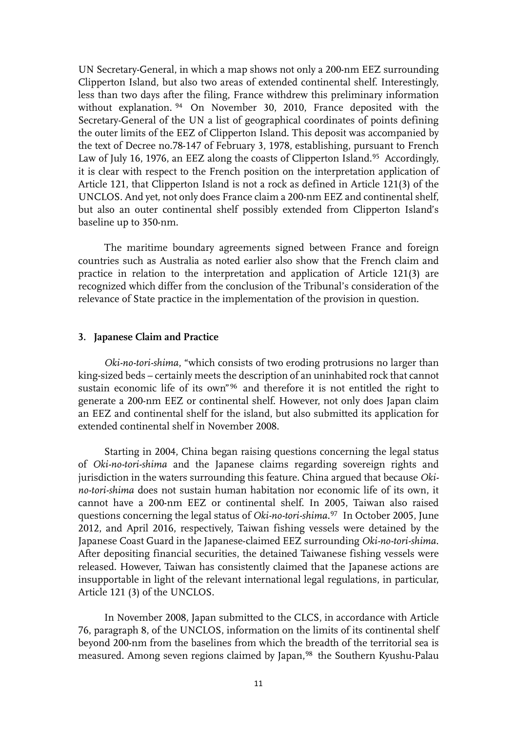UN Secretary-General, in which a map shows not only a 200-nm EEZ surrounding Clipperton Island, but also two areas of extended continental shelf. Interestingly, less than two days after the filing, France withdrew this preliminary information without explanation. [94](#page-21-5) On November 30, 2010, France deposited with the Secretary-General of the UN a list of geographical coordinates of points defining the outer limits of the EEZ of Clipperton Island. This deposit was accompanied by the text of Decree no.78-147 of February 3, 1978, establishing, pursuant to French Law of July 16, 1976, an EEZ along the coasts of Clipperton Island.<sup>[95](#page-21-6)</sup> Accordingly, it is clear with respect to the French position on the interpretation application of Article 121, that Clipperton Island is not a rock as defined in Article 121(3) of the UNCLOS. And yet, not only does France claim a 200-nm EEZ and continental shelf, but also an outer continental shelf possibly extended from Clipperton Island's baseline up to 350-nm.

 The maritime boundary agreements signed between France and foreign countries such as Australia as noted earlier also show that the French claim and practice in relation to the interpretation and application of Article 121(3) are recognized which differ from the conclusion of the Tribunal's consideration of the relevance of State practice in the implementation of the provision in question.

#### **3. Japanese Claim and Practice**

 *Oki-no-tori-shima*, "which consists of two eroding protrusions no larger than king-sized beds – certainly meets the description of an uninhabited rock that cannot sustain economic life of its own"[96](#page-21-7) and therefore it is not entitled the right to generate a 200-nm EEZ or continental shelf. However, not only does Japan claim an EEZ and continental shelf for the island, but also submitted its application for extended continental shelf in November 2008.

 Starting in 2004, China began raising questions concerning the legal status of *Oki-no-tori-shima* and the Japanese claims regarding sovereign rights and jurisdiction in the waters surrounding this feature. China argued that because *Okino-tori-shima* does not sustain human habitation nor economic life of its own, it cannot have a 200-nm EEZ or continental shelf. In 2005, Taiwan also raised questions concerning the legal status of *Oki-no-tori-shima*. [97](#page-21-8) In October 2005, June 2012, and April 2016, respectively, Taiwan fishing vessels were detained by the Japanese Coast Guard in the Japanese-claimed EEZ surrounding *Oki-no-tori-shima*. After depositing financial securities, the detained Taiwanese fishing vessels were released. However, Taiwan has consistently claimed that the Japanese actions are insupportable in light of the relevant international legal regulations, in particular, Article 121 (3) of the UNCLOS.

 In November 2008, Japan submitted to the CLCS, in accordance with Article 76, paragraph 8, of the UNCLOS, information on the limits of its continental shelf beyond 200-nm from the baselines from which the breadth of the territorial sea is measured. Among seven regions claimed by Japan,<sup>[98](#page-21-9)</sup> the Southern Kyushu-Palau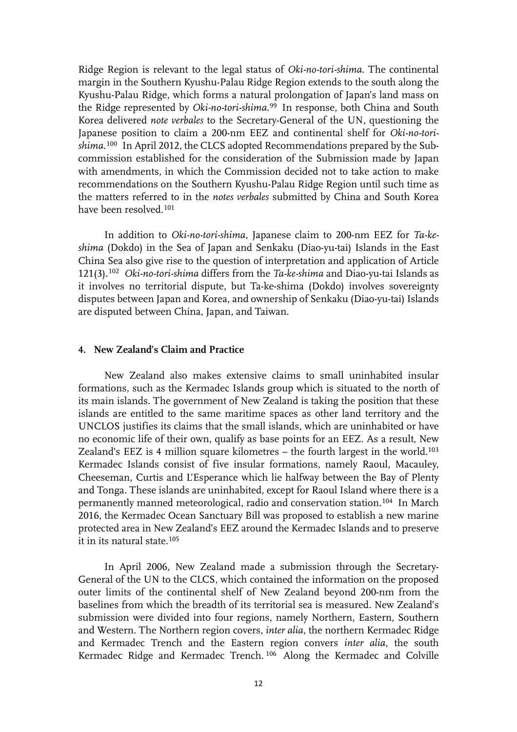Ridge Region is relevant to the legal status of *Oki-no-tori-shima*. The continental margin in the Southern Kyushu-Palau Ridge Region extends to the south along the Kyushu-Palau Ridge, which forms a natural prolongation of Japan's land mass on the Ridge represented by *Oki-no-tori-shima*. [99](#page-21-10) In response, both China and South Korea delivered *note verbales* to the Secretary-General of the UN, questioning the Japanese position to claim a 200-nm EEZ and continental shelf for *Oki-no-torishima*.[100](#page-21-11) In April 2012, the CLCS adopted Recommendations prepared by the Subcommission established for the consideration of the Submission made by Japan with amendments, in which the Commission decided not to take action to make recommendations on the Southern Kyushu-Palau Ridge Region until such time as the matters referred to in the *notes verbales* submitted by China and South Korea have been resolved.[101](#page-21-12)

 In addition to *Oki-no-tori-shima,* Japanese claim to 200-nm EEZ for *Ta-keshima* (Dokdo) in the Sea of Japan and Senkaku (Diao-yu-tai) Islands in the East China Sea also give rise to the question of interpretation and application of Article 121(3).[102](#page-21-13) *Oki-no-tori-shima* differs from the *Ta-ke-shima* and Diao-yu-tai Islands as it involves no territorial dispute, but Ta-ke-shima (Dokdo) involves sovereignty disputes between Japan and Korea, and ownership of Senkaku (Diao-yu-tai) Islands are disputed between China, Japan, and Taiwan.

## **4. New Zealand's Claim and Practice**

 New Zealand also makes extensive claims to small uninhabited insular formations, such as the Kermadec Islands group which is situated to the north of its main islands. The government of New Zealand is taking the position that these islands are entitled to the same maritime spaces as other land territory and the UNCLOS justifies its claims that the small islands, which are uninhabited or have no economic life of their own, qualify as base points for an EEZ. As a result, New Zealand's EEZ is 4 million square kilometres  $-$  the fourth largest in the world.<sup>[103](#page-21-14)</sup> Kermadec Islands consist of five insular formations, namely Raoul, Macauley, Cheeseman, Curtis and L'Esperance which lie halfway between the Bay of Plenty and Tonga. These islands are uninhabited, except for Raoul Island where there is a permanently manned meteorological, radio and conservation station.[104](#page-22-0) In March 2016, the Kermadec Ocean Sanctuary Bill was proposed to establish a new marine protected area in New Zealand's EEZ around the Kermadec Islands and to preserve it in its natural state.[105](#page-22-1)

 In April 2006, New Zealand made a submission through the Secretary-General of the UN to the CLCS, which contained the information on the proposed outer limits of the continental shelf of New Zealand beyond 200-nm from the baselines from which the breadth of its territorial sea is measured. New Zealand's submission were divided into four regions, namely Northern, Eastern, Southern and Western. The Northern region covers, *inter alia*, the northern Kermadec Ridge and Kermadec Trench and the Eastern region convers *inter alia*, the south Kermadec Ridge and Kermadec Trench. [106](#page-22-2) Along the Kermadec and Colville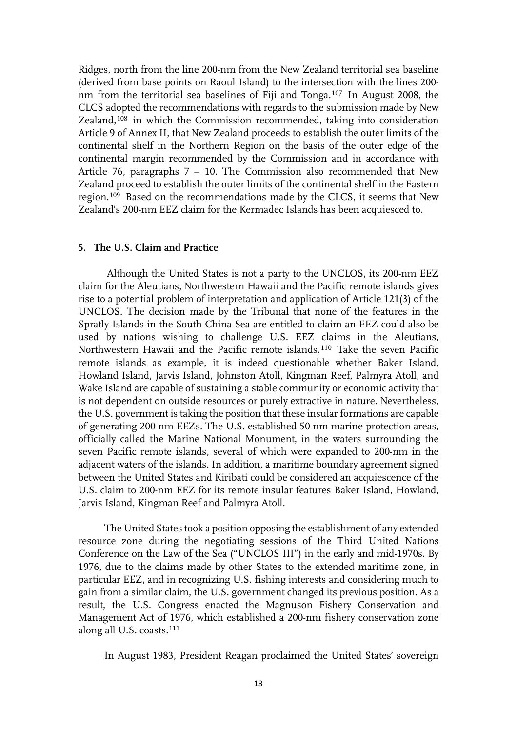Ridges, north from the line 200-nm from the New Zealand territorial sea baseline (derived from base points on Raoul Island) to the intersection with the lines 200 nm from the territorial sea baselines of Fiji and Tonga.[107](#page-22-3) In August 2008, the CLCS adopted the recommendations with regards to the submission made by New Zealand,[108](#page-22-4) in which the Commission recommended, taking into consideration Article 9 of Annex II, that New Zealand proceeds to establish the outer limits of the continental shelf in the Northern Region on the basis of the outer edge of the continental margin recommended by the Commission and in accordance with Article 76, paragraphs 7 – 10. The Commission also recommended that New Zealand proceed to establish the outer limits of the continental shelf in the Eastern region.[109](#page-22-5) Based on the recommendations made by the CLCS, it seems that New Zealand's 200-nm EEZ claim for the Kermadec Islands has been acquiesced to.

### **5. The U.S. Claim and Practice**

Although the United States is not a party to the UNCLOS, its 200-nm EEZ claim for the Aleutians, Northwestern Hawaii and the Pacific remote islands gives rise to a potential problem of interpretation and application of Article 121(3) of the UNCLOS. The decision made by the Tribunal that none of the features in the Spratly Islands in the South China Sea are entitled to claim an EEZ could also be used by nations wishing to challenge U.S. EEZ claims in the Aleutians, Northwestern Hawaii and the Pacific remote islands.[110](#page-22-6) Take the seven Pacific remote islands as example, it is indeed questionable whether Baker Island, Howland Island, Jarvis Island, Johnston Atoll, Kingman Reef, Palmyra Atoll, and Wake Island are capable of sustaining a stable community or economic activity that is not dependent on outside resources or purely extractive in nature. Nevertheless, the U.S. government is taking the position that these insular formations are capable of generating 200-nm EEZs. The U.S. established 50-nm marine protection areas, officially called the Marine National Monument, in the waters surrounding the seven Pacific remote islands, several of which were expanded to 200-nm in the adjacent waters of the islands. In addition, a maritime boundary agreement signed between the United States and Kiribati could be considered an acquiescence of the U.S. claim to 200-nm EEZ for its remote insular features Baker Island, Howland, Jarvis Island, Kingman Reef and Palmyra Atoll.

The United States took a position opposing the establishment of any extended resource zone during the negotiating sessions of the Third United Nations Conference on the Law of the Sea ("UNCLOS III") in the early and mid-1970s. By 1976, due to the claims made by other States to the extended maritime zone, in particular EEZ, and in recognizing U.S. fishing interests and considering much to gain from a similar claim, the U.S. government changed its previous position. As a result, the U.S. Congress enacted the Magnuson Fishery Conservation and Management Act of 1976, which established a 200-nm fishery conservation zone along all U.S. coasts.[111](#page-22-7)

In August 1983, President Reagan proclaimed the United States' sovereign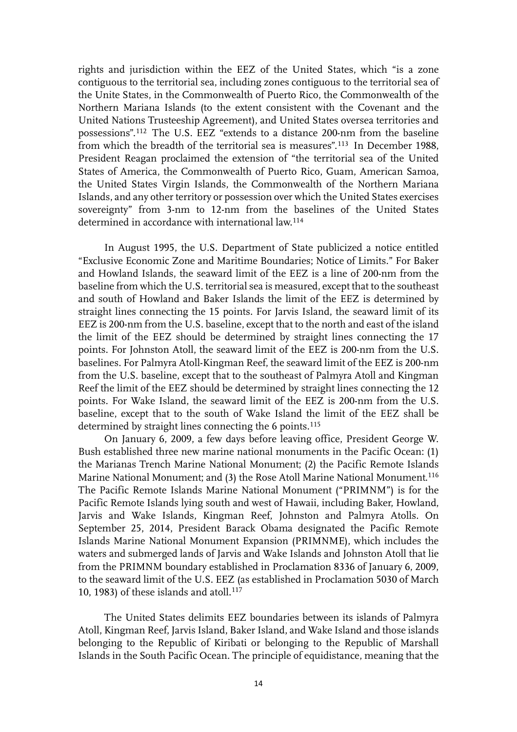rights and jurisdiction within the EEZ of the United States, which "is a zone contiguous to the territorial sea, including zones contiguous to the territorial sea of the Unite States, in the Commonwealth of Puerto Rico, the Commonwealth of the Northern Mariana Islands (to the extent consistent with the Covenant and the United Nations Trusteeship Agreement), and United States oversea territories and possessions".[112](#page-22-8) The U.S. EEZ "extends to a distance 200-nm from the baseline from which the breadth of the territorial sea is measures".[113](#page-22-9) In December 1988, President Reagan proclaimed the extension of "the territorial sea of the United States of America, the Commonwealth of Puerto Rico, Guam, American Samoa, the United States Virgin Islands, the Commonwealth of the Northern Mariana Islands, and any other territory or possession over which the United States exercises sovereignty" from 3-nm to 12-nm from the baselines of the United States determined in accordance with international law.<sup>[114](#page-22-10)</sup>

In August 1995, the U.S. Department of State publicized a notice entitled "Exclusive Economic Zone and Maritime Boundaries; Notice of Limits." For Baker and Howland Islands, the seaward limit of the EEZ is a line of 200-nm from the baseline from which the U.S. territorial sea is measured, except that to the southeast and south of Howland and Baker Islands the limit of the EEZ is determined by straight lines connecting the 15 points. For Jarvis Island, the seaward limit of its EEZ is 200-nm from the U.S. baseline, except that to the north and east of the island the limit of the EEZ should be determined by straight lines connecting the 17 points. For Johnston Atoll, the seaward limit of the EEZ is 200-nm from the U.S. baselines. For Palmyra Atoll-Kingman Reef, the seaward limit of the EEZ is 200-nm from the U.S. baseline, except that to the southeast of Palmyra Atoll and Kingman Reef the limit of the EEZ should be determined by straight lines connecting the 12 points. For Wake Island, the seaward limit of the EEZ is 200-nm from the U.S. baseline, except that to the south of Wake Island the limit of the EEZ shall be determined by straight lines connecting the 6 points.<sup>[115](#page-22-11)</sup>

On January 6, 2009, a few days before leaving office, President George W. Bush established three new marine national monuments in the Pacific Ocean: (1) the Marianas Trench Marine National Monument; (2) the Pacific Remote Islands Marine National Monument; and (3) the Rose Atoll Marine National Monument.<sup>[116](#page-22-12)</sup> The Pacific Remote Islands Marine National Monument ("PRIMNM") is for the Pacific Remote Islands lying south and west of Hawaii, including Baker, Howland, Jarvis and Wake Islands, Kingman Reef, Johnston and Palmyra Atolls. On September 25, 2014, President Barack Obama designated the Pacific Remote Islands Marine National Monument Expansion (PRIMNME), which includes the waters and submerged lands of Jarvis and Wake Islands and Johnston Atoll that lie from the PRIMNM boundary established in Proclamation 8336 of January 6, 2009, to the seaward limit of the U.S. EEZ (as established in Proclamation 5030 of March 10, 1983) of these islands and atoll. $117$ 

The United States delimits EEZ boundaries between its islands of Palmyra Atoll, Kingman Reef, Jarvis Island, Baker Island, and Wake Island and those islands belonging to the Republic of Kiribati or belonging to the Republic of Marshall Islands in the South Pacific Ocean. The principle of equidistance, meaning that the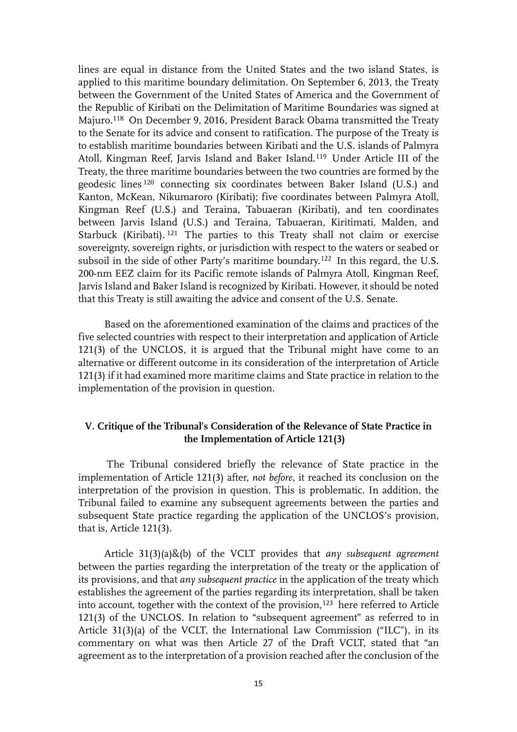lines are equal in distance from the United States and the two island States, is applied to this maritime boundary delimitation. On September 6, 2013, the Treaty between the Government of the United States of America and the Government of the Republic of Kiribati on the Delimitation of Maritime Boundaries was signed at Majuro.[118](#page-22-14) On December 9, 2016, President Barack Obama transmitted the Treaty to the Senate for its advice and consent to ratification. The purpose of the Treaty is to establish maritime boundaries between Kiribati and the U.S. islands of Palmyra Atoll, Kingman Reef, Jarvis Island and Baker Island.[119](#page-23-0) Under Article III of the Treaty, the three maritime boundaries between the two countries are formed by the geodesic lines [120](#page-23-1) connecting six coordinates between Baker Island (U.S.) and Kanton, McKean, Nikumaroro (Kiribati); five coordinates between Palmyra Atoll, Kingman Reef (U.S.) and Teraina, Tabuaeran (Kiribati), and ten coordinates between Jarvis Island (U.S.) and Teraina, Tabuaeran, Kiritimati, Malden, and Starbuck (Kiribati). [121](#page-23-2) The parties to this Treaty shall not claim or exercise sovereignty, sovereign rights, or jurisdiction with respect to the waters or seabed or subsoil in the side of other Party's maritime boundary.[122](#page-23-3) In this regard, the U.S. 200-nm EEZ claim for its Pacific remote islands of Palmyra Atoll, Kingman Reef, Jarvis Island and Baker Island is recognized by Kiribati. However, it should be noted that this Treaty is still awaiting the advice and consent of the U.S. Senate.

 Based on the aforementioned examination of the claims and practices of the five selected countries with respect to their interpretation and application of Article 121(3) of the UNCLOS, it is argued that the Tribunal might have come to an alternative or different outcome in its consideration of the interpretation of Article 121(3) if it had examined more maritime claims and State practice in relation to the implementation of the provision in question.

# **V. Critique of the Tribunal's Consideration of the Relevance of State Practice in the Implementation of Article 121(3)**

The Tribunal considered briefly the relevance of State practice in the implementation of Article 121(3) after, *not before*, it reached its conclusion on the interpretation of the provision in question. This is problematic. In addition, the Tribunal failed to examine any subsequent agreements between the parties and subsequent State practice regarding the application of the UNCLOS's provision, that is, Article 121(3).

Article 31(3)(a)&(b) of the VCLT provides that *any subsequent agreement* between the parties regarding the interpretation of the treaty or the application of its provisions, and that *any subsequent practice* in the application of the treaty which establishes the agreement of the parties regarding its interpretation, shall be taken into account, together with the context of the provision,[123](#page-23-4) here referred to Article 121(3) of the UNCLOS. In relation to "subsequent agreement" as referred to in Article 31(3)(a) of the VCLT, the International Law Commission ("ILC"), in its commentary on what was then Article 27 of the Draft VCLT, stated that "an agreement as to the interpretation of a provision reached after the conclusion of the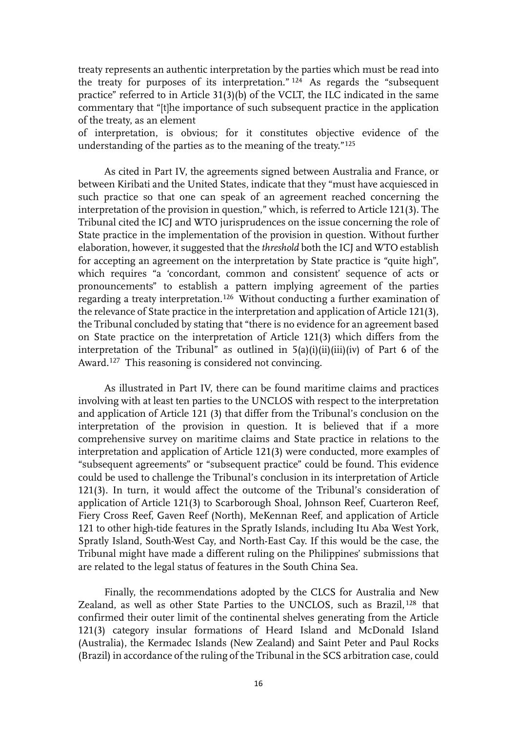treaty represents an authentic interpretation by the parties which must be read into the treaty for purposes of its interpretation." [124](#page-23-5) As regards the "subsequent practice" referred to in Article 31(3)(b) of the VCLT, the ILC indicated in the same commentary that "[t]he importance of such subsequent practice in the application of the treaty, as an element

of interpretation, is obvious; for it constitutes objective evidence of the understanding of the parties as to the meaning of the treaty."[125](#page-23-6)

As cited in Part IV, the agreements signed between Australia and France, or between Kiribati and the United States, indicate that they "must have acquiesced in such practice so that one can speak of an agreement reached concerning the interpretation of the provision in question," which, is referred to Article 121(3). The Tribunal cited the ICJ and WTO jurisprudences on the issue concerning the role of State practice in the implementation of the provision in question. Without further elaboration, however, it suggested that the *threshold* both the ICJ and WTO establish for accepting an agreement on the interpretation by State practice is "quite high", which requires "a 'concordant, common and consistent' sequence of acts or pronouncements" to establish a pattern implying agreement of the parties regarding a treaty interpretation.[126](#page-23-7) Without conducting a further examination of the relevance of State practice in the interpretation and application of Article 121(3), the Tribunal concluded by stating that "there is no evidence for an agreement based on State practice on the interpretation of Article 121(3) which differs from the interpretation of the Tribunal" as outlined in  $5(a)(i)(ii)(iii)(iv)$  of Part 6 of the Award.[127](#page-23-8) This reasoning is considered not convincing.

 As illustrated in Part IV, there can be found maritime claims and practices involving with at least ten parties to the UNCLOS with respect to the interpretation and application of Article 121 (3) that differ from the Tribunal's conclusion on the interpretation of the provision in question. It is believed that if a more comprehensive survey on maritime claims and State practice in relations to the interpretation and application of Article 121(3) were conducted, more examples of "subsequent agreements" or "subsequent practice" could be found. This evidence could be used to challenge the Tribunal's conclusion in its interpretation of Article 121(3). In turn, it would affect the outcome of the Tribunal's consideration of application of Article 121(3) to Scarborough Shoal, Johnson Reef, Cuarteron Reef, Fiery Cross Reef, Gaven Reef (North), MeKennan Reef, and application of Article 121 to other high-tide features in the Spratly Islands, including Itu Aba West York, Spratly Island, South-West Cay, and North-East Cay. If this would be the case, the Tribunal might have made a different ruling on the Philippines' submissions that are related to the legal status of features in the South China Sea.

Finally, the recommendations adopted by the CLCS for Australia and New Zealand, as well as other State Parties to the UNCLOS, such as Brazil, [128](#page-23-9) that confirmed their outer limit of the continental shelves generating from the Article 121(3) category insular formations of Heard Island and McDonald Island (Australia), the Kermadec Islands (New Zealand) and Saint Peter and Paul Rocks (Brazil) in accordance of the ruling of the Tribunal in the SCS arbitration case, could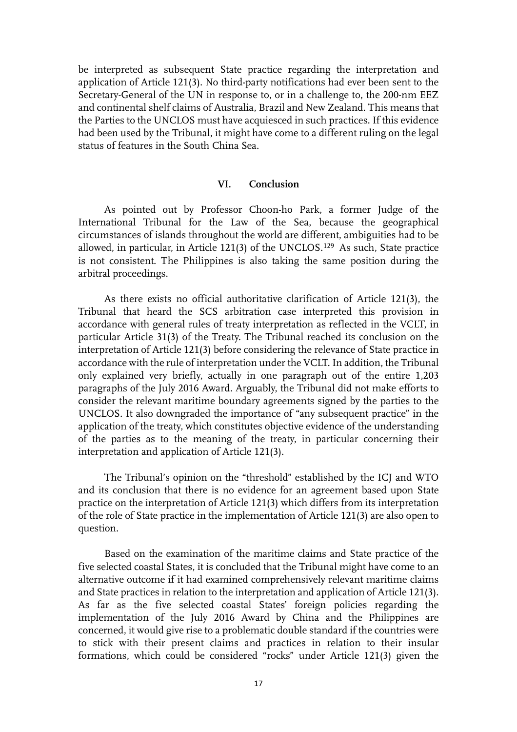be interpreted as subsequent State practice regarding the interpretation and application of Article 121(3). No third-party notifications had ever been sent to the Secretary-General of the UN in response to, or in a challenge to, the 200-nm EEZ and continental shelf claims of Australia, Brazil and New Zealand. This means that the Parties to the UNCLOS must have acquiesced in such practices. If this evidence had been used by the Tribunal, it might have come to a different ruling on the legal status of features in the South China Sea.

#### **VI. Conclusion**

As pointed out by Professor Choon-ho Park, a former Judge of the International Tribunal for the Law of the Sea, because the geographical circumstances of islands throughout the world are different, ambiguities had to be allowed, in particular, in Article 121(3) of the UNCLOS.[129](#page-23-10) As such, State practice is not consistent. The Philippines is also taking the same position during the arbitral proceedings.

As there exists no official authoritative clarification of Article 121(3), the Tribunal that heard the SCS arbitration case interpreted this provision in accordance with general rules of treaty interpretation as reflected in the VCLT, in particular Article 31(3) of the Treaty. The Tribunal reached its conclusion on the interpretation of Article 121(3) before considering the relevance of State practice in accordance with the rule of interpretation under the VCLT. In addition, the Tribunal only explained very briefly, actually in one paragraph out of the entire 1,203 paragraphs of the July 2016 Award. Arguably, the Tribunal did not make efforts to consider the relevant maritime boundary agreements signed by the parties to the UNCLOS. It also downgraded the importance of "any subsequent practice" in the application of the treaty, which constitutes objective evidence of the understanding of the parties as to the meaning of the treaty, in particular concerning their interpretation and application of Article 121(3).

The Tribunal's opinion on the "threshold" established by the ICJ and WTO and its conclusion that there is no evidence for an agreement based upon State practice on the interpretation of Article 121(3) which differs from its interpretation of the role of State practice in the implementation of Article 121(3) are also open to question.

Based on the examination of the maritime claims and State practice of the five selected coastal States, it is concluded that the Tribunal might have come to an alternative outcome if it had examined comprehensively relevant maritime claims and State practices in relation to the interpretation and application of Article 121(3). As far as the five selected coastal States' foreign policies regarding the implementation of the July 2016 Award by China and the Philippines are concerned, it would give rise to a problematic double standard if the countries were to stick with their present claims and practices in relation to their insular formations, which could be considered "rocks" under Article 121(3) given the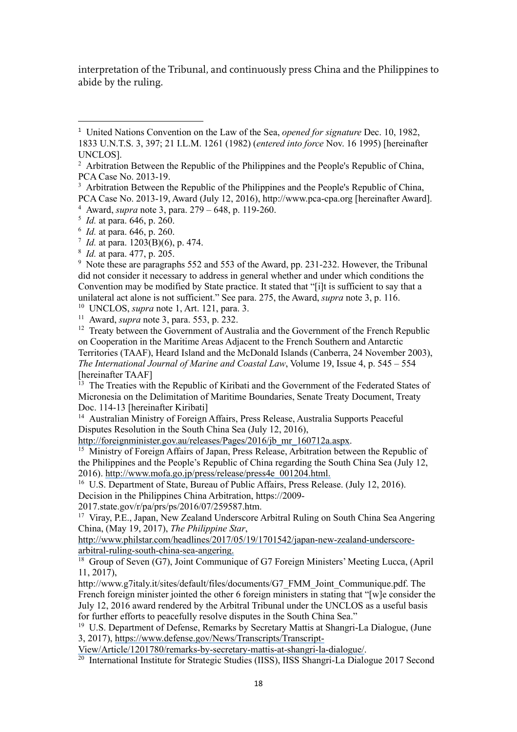interpretation of the Tribunal, and continuously press China and the Philippines to abide by the ruling.

<sup>10</sup> UNCLOS, *supra* note 1, Art. 121, para. 3.

<span id="page-17-10"></span><span id="page-17-9"></span><sup>11</sup> Award, *supra* note 3, para. 553, p. 232.

<span id="page-17-11"></span><sup>12</sup> Treaty between the Government of Australia and the Government of the French Republic on Cooperation in the Maritime Areas Adjacent to the French Southern and Antarctic Territories (TAAF), Heard Island and the McDonald Islands (Canberra, 24 November 2003), *The International Journal of Marine and Coastal Law*, Volume 19, Issue 4, p. 545 – 554 [hereinafter TAAF]

<span id="page-17-12"></span><sup>13</sup> The Treaties with the Republic of Kiribati and the Government of the Federated States of Micronesia on the Delimitation of Maritime Boundaries, Senate Treaty Document, Treaty Doc. 114-13 [hereinafter Kiribati]

<span id="page-17-13"></span><sup>14</sup> Australian Ministry of Foreign Affairs, Press Release, Australia Supports Peaceful Disputes Resolution in the South China Sea (July 12, 2016),

http://foreignminister.gov.au/releases/Pages/2016/jb\_mr\_160712a.aspx.

<span id="page-17-14"></span><sup>15</sup> Ministry of Foreign Affairs of Japan, Press Release, Arbitration between the Republic of the Philippines and the People's Republic of China regarding the South China Sea (July 12, 2016). http://www.mofa.go.jp/press/release/press4e\_001204.html.

<span id="page-17-15"></span><sup>16</sup> U.S. Department of State, Bureau of Public Affairs, Press Release. (July 12, 2016).

Decision in the Philippines China Arbitration, https://2009-

2017.state.gov/r/pa/prs/ps/2016/07/259587.htm.

<span id="page-17-16"></span><sup>17</sup> Viray, P.E., Japan, New Zealand Underscore Arbitral Ruling on South China Sea Angering China, (May 19, 2017), *The Philippine Star*,

http://www.philstar.com/headlines/2017/05/19/1701542/japan-new-zealand-underscorearbitral-ruling-south-china-sea-angering.

<span id="page-17-17"></span><sup>18</sup> Group of Seven (G7), Joint Communique of G7 Foreign Ministers' Meeting Lucca, (April 11, 2017),

http://www.g7italy.it/sites/default/files/documents/G7\_FMM\_Joint\_Communique.pdf. The French foreign minister jointed the other 6 foreign ministers in stating that "[w]e consider the July 12, 2016 award rendered by the Arbitral Tribunal under the UNCLOS as a useful basis for further efforts to peacefully resolve disputes in the South China Sea."

<span id="page-17-18"></span><sup>19</sup> U.S. Department of Defense, Remarks by Secretary Mattis at Shangri-La Dialogue, (June 3, 2017), https://www.defense.gov/News/Transcripts/Transcript-

View/Article/1201780/remarks-by-secretary-mattis-at-shangri-la-dialogue/.

<span id="page-17-19"></span><sup>20</sup> International Institute for Strategic Studies (IISS), IISS Shangri-La Dialogue 2017 Second

<span id="page-17-0"></span><sup>1</sup> United Nations [Convention](http://www.eisil.org/index.php?sid=492188715&id=601&t=link_details&cat=418) on the Law of the Sea, *opened for signature* Dec. 10, 1982, 1833 U.N.T.S. 3, 397; 21 [I.L.M.](http://heinonline.org/HOL/Page?handle=hein.journals/intlm21&collection=ustreaties&id=1275) 1261 (1982) (*entered into force* Nov. 16 1995) [hereinafter UNCLOS].

<span id="page-17-1"></span><sup>&</sup>lt;sup>2</sup> Arbitration Between the Republic of the Philippines and the People's Republic of China, PCA Case No. 2013-19.

<span id="page-17-2"></span><sup>&</sup>lt;sup>3</sup> Arbitration Between the Republic of the Philippines and the People's Republic of China, PCA Case No. 2013-19, Award (July 12, 2016), [http://www.pca-cpa.org](http://www.pca-cpa.org/) [hereinafter Award]. <sup>4</sup> Award, *supra* note 3, para. 279 – 648, p. 119-260.

<span id="page-17-4"></span><span id="page-17-3"></span><sup>5</sup> *Id.* at para. 646, p. 260.

<span id="page-17-5"></span><sup>6</sup> *Id.* at para. 646, p. 260.

<span id="page-17-6"></span><sup>7</sup> *Id.* at para. 1203(B)(6), p. 474.

<span id="page-17-7"></span><sup>8</sup> *Id.* at para. 477, p. 205.

<span id="page-17-8"></span><sup>&</sup>lt;sup>9</sup> Note these are paragraphs 552 and 553 of the Award, pp. 231-232. However, the Tribunal did not consider it necessary to address in general whether and under which conditions the Convention may be modified by State practice. It stated that "[i]t is sufficient to say that a unilateral act alone is not sufficient." See para. 275, the Award, *supra* note 3, p. 116.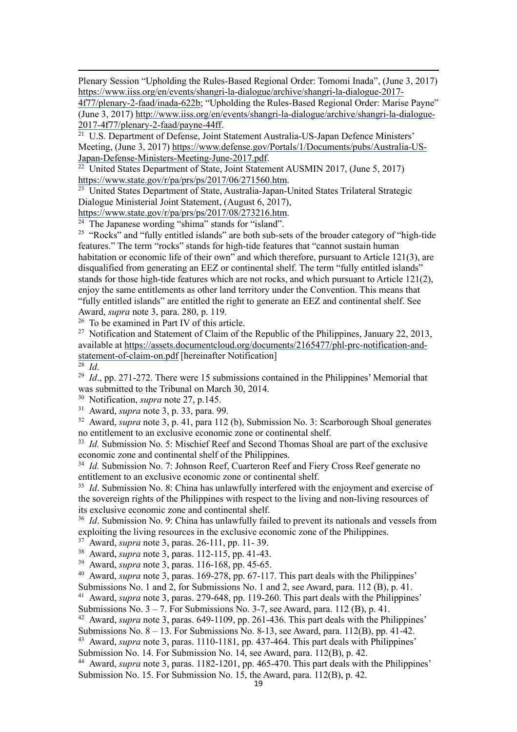Plenary Session "Upholding the Rules-Based Regional Order: Tomomi Inada", (June 3, 2017) https://www.iiss.org/en/events/shangri-la-dialogue/archive/shangri-la-dialogue-2017-

4f77/plenary-2-faad/inada-622b; "Upholding the Rules-Based Regional Order: Marise Payne" (June 3, 2017) [http://www.iiss.org/en/events/shangri-la-dialogue/archive/shangri-la-dialogue-](http://www.iiss.org/en/events/shangri-la-dialogue/archive/shangri-la-dialogue-2017-4f77/plenary-2-faad/payne-44ff)[2017-4f77/plenary-2-faad/payne-44ff.](http://www.iiss.org/en/events/shangri-la-dialogue/archive/shangri-la-dialogue-2017-4f77/plenary-2-faad/payne-44ff)

<span id="page-18-0"></span><sup>21</sup> U.S. Department of Defense, Joint Statement Australia-US-Japan Defence Ministers' Meeting, (June 3, 2017) [https://www.defense.gov/Portals/1/Documents/pubs/Australia-US-](https://www.defense.gov/Portals/1/Documents/pubs/Australia-US-Japan-Defense-Ministers-Meeting-June-2017.pdf)[Japan-Defense-Ministers-Meeting-June-2017.pdf.](https://www.defense.gov/Portals/1/Documents/pubs/Australia-US-Japan-Defense-Ministers-Meeting-June-2017.pdf)

<span id="page-18-1"></span> $\overline{\text{22}}$  United States Department of State, Joint Statement AUSMIN 2017, (June 5, 2017) [https://www.state.gov/r/pa/prs/ps/2017/06/271560.htm.](https://www.state.gov/r/pa/prs/ps/2017/06/271560.htm)

<span id="page-18-2"></span><sup>23</sup> United States Department of State, Australia-Japan-United States Trilateral Strategic Dialogue Ministerial Joint Statement, (August 6, 2017),

[https://www.state.gov/r/pa/prs/ps/2017/08/273216.htm.](https://www.state.gov/r/pa/prs/ps/2017/08/273216.htm)

<sup>24</sup> The Japanese wording "shima" stands for "island".

<span id="page-18-4"></span><span id="page-18-3"></span><sup>25</sup> "Rocks" and "fully entitled islands" are both sub-sets of the broader category of "high-tide" features." The term "rocks" stands for high-tide features that "cannot sustain human habitation or economic life of their own" and which therefore, pursuant to Article 121(3), are disqualified from generating an EEZ or continental shelf. The term "fully entitled islands" stands for those high-tide features which are not rocks, and which pursuant to Article 121(2), enjoy the same entitlements as other land territory under the Convention. This means that "fully entitled islands" are entitled the right to generate an EEZ and continental shelf. See Award, *supra* note 3, para. 280, p. 119.

<span id="page-18-5"></span><sup>26</sup> To be examined in Part IV of this article.

<span id="page-18-6"></span><sup>27</sup> Notification and Statement of Claim of the Republic of the Philippines, January 22, 2013, available at https://assets.documentcloud.org/documents/2165477/phl-prc-notification-andstatement-of-claim-on.pdf [hereinafter Notification]

<span id="page-18-7"></span><sup>28</sup> *Id*.

<span id="page-18-8"></span><sup>29</sup> *Id.*, pp. 271-272. There were 15 submissions contained in the Philippines' Memorial that was submitted to the Tribunal on March 30, 2014.

<span id="page-18-9"></span><sup>30</sup> Notification, *supra* note 27, p.145.

<span id="page-18-10"></span><sup>31</sup> Award, *supra* note 3, p. 33, para. 99.

<span id="page-18-11"></span><sup>32</sup> Award, *supra* note 3, p. 41, para 112 (b), Submission No. 3: Scarborough Shoal generates no entitlement to an exclusive economic zone or continental shelf.

<span id="page-18-12"></span><sup>33</sup> *Id.* Submission No. 5: Mischief Reef and Second Thomas Shoal are part of the exclusive economic zone and continental shelf of the Philippines.

<span id="page-18-13"></span><sup>34</sup> *Id.* Submission No. 7: Johnson Reef, Cuarteron Reef and Fiery Cross Reef generate no entitlement to an exclusive economic zone or continental shelf.

<span id="page-18-14"></span><sup>35</sup> *Id*. Submission No. 8: China has unlawfully interfered with the enjoyment and exercise of the sovereign rights of the Philippines with respect to the living and non-living resources of its exclusive economic zone and continental shelf.

<span id="page-18-15"></span><sup>36</sup> *Id*. Submission No. 9: China has unlawfully failed to prevent its nationals and vessels from exploiting the living resources in the exclusive economic zone of the Philippines.

<span id="page-18-16"></span><sup>37</sup> Award, *supra* note 3, paras. 26-111, pp. 11- 39.

<span id="page-18-17"></span><sup>38</sup> Award, *supra* note 3, paras. 112-115, pp. 41-43.

<span id="page-18-18"></span><sup>39</sup> Award, *supra* note 3, paras. 116-168, pp. 45-65.

<span id="page-18-19"></span><sup>40</sup> Award, *supra* note 3, paras. 169-278, pp. 67-117. This part deals with the Philippines'

Submissions No. 1 and 2, for Submissions No. 1 and 2, see Award, para. 112 (B), p. 41.

<span id="page-18-20"></span><sup>41</sup> Award, *supra* note 3, paras. 279-648, pp. 119-260. This part deals with the Philippines' Submissions No.  $3 - 7$ . For Submissions No. 3-7, see Award, para. 112 (B), p. 41.

<span id="page-18-21"></span><sup>42</sup> Award, *supra* note 3, paras. 649-1109, pp. 261-436. This part deals with the Philippines'

Submissions No. 8 – 13. For Submissions No. 8-13, see Award, para. 112(B), pp. 41-42.

<span id="page-18-22"></span><sup>43</sup> Award, *supra* note 3, paras. 1110-1181, pp. 437-464. This part deals with Philippines'

Submission No. 14. For Submission No. 14, see Award, para. 112(B), p. 42.

<span id="page-18-23"></span><sup>44</sup> Award, *supra* note 3, paras. 1182-1201, pp. 465-470. This part deals with the Philippines' Submission No. 15. For Submission No. 15, the Award, para. 112(B), p. 42.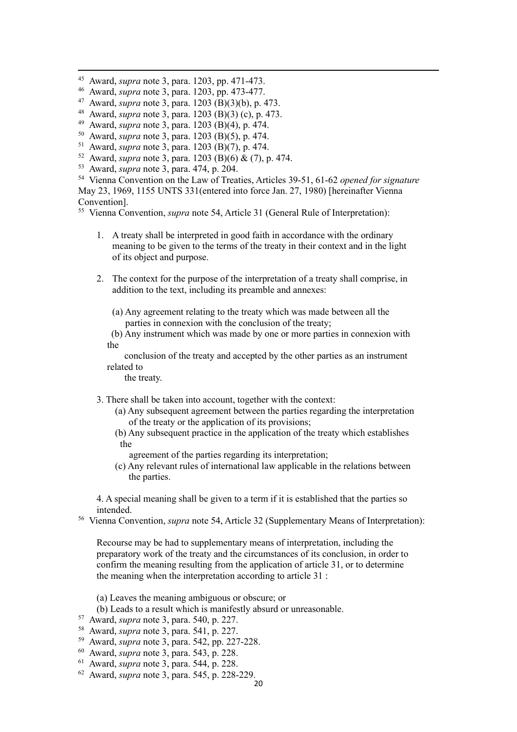- <span id="page-19-0"></span><sup>45</sup> Award, *supra* note 3, para. 1203, pp. 471-473.
- <span id="page-19-1"></span><sup>46</sup> Award, *supra* note 3, para. 1203, pp. 473-477.
- <span id="page-19-2"></span><sup>47</sup> Award, *supra* note 3, para. 1203 (B)(3)(b), p. 473.
- <span id="page-19-3"></span><sup>48</sup> Award, *supra* note 3, para. 1203 (B)(3) (c), p. 473.
- <span id="page-19-4"></span><sup>49</sup> Award, *supra* note 3, para. 1203 (B)(4), p. 474.
- <span id="page-19-5"></span><sup>50</sup> Award, *supra* note 3, para. 1203 (B)(5), p. 474.
- <span id="page-19-6"></span><sup>51</sup> Award, *supra* note 3, para. 1203 (B)(7), p. 474.
- <span id="page-19-7"></span><sup>52</sup> Award, *supra* note 3, para. 1203 (B)(6) & (7), p. 474.
- <span id="page-19-8"></span><sup>53</sup> Award, *supra* note 3, para. 474, p. 204.
- <span id="page-19-9"></span><sup>54</sup> Vienna Convention on the Law of Treaties, Articles 39-51, 61-62 *opened for signature* May 23, 1969, 1155 UNTS 331(entered into force Jan. 27, 1980) [hereinafter Vienna Convention].

<span id="page-19-10"></span><sup>55</sup> Vienna Convention, *supra* note 54, Article 31 (General Rule of Interpretation):

- 1. A treaty shall be interpreted in good faith in accordance with the ordinary meaning to be given to the terms of the treaty in their context and in the light of its object and purpose.
- 2. The context for the purpose of the interpretation of a treaty shall comprise, in addition to the text, including its preamble and annexes:
	- (a) Any agreement relating to the treaty which was made between all the parties in connexion with the conclusion of the treaty;
	- (b) Any instrument which was made by one or more parties in connexion with the

conclusion of the treaty and accepted by the other parties as an instrument related to

the treaty.

- 3. There shall be taken into account, together with the context:
	- (a) Any subsequent agreement between the parties regarding the interpretation of the treaty or the application of its provisions;
	- (b) Any subsequent practice in the application of the treaty which establishes the
		- agreement of the parties regarding its interpretation;
	- (c) Any relevant rules of international law applicable in the relations between the parties.

4. A special meaning shall be given to a term if it is established that the parties so intended.

<span id="page-19-11"></span><sup>56</sup> Vienna Convention, *supra* note 54, Article 32 (Supplementary Means of Interpretation):

Recourse may be had to supplementary means of interpretation, including the preparatory work of the treaty and the circumstances of its conclusion, in order to confirm the meaning resulting from the application of article 31, or to determine the meaning when the interpretation according to article 31 :

- (a) Leaves the meaning ambiguous or obscure; or
- (b) Leads to a result which is manifestly absurd or unreasonable.
- <span id="page-19-12"></span><sup>57</sup> Award, *supra* note 3, para. 540, p. 227.
- <span id="page-19-13"></span><sup>58</sup> Award, *supra* note 3, para. 541, p. 227.
- <span id="page-19-14"></span><sup>59</sup> Award, *supra* note 3, para. 542, pp. 227-228.
- <span id="page-19-15"></span><sup>60</sup> Award, *supra* note 3, para. 543, p. 228.
- <span id="page-19-16"></span><sup>61</sup> Award, *supra* note 3, para. 544, p. 228.
- <span id="page-19-17"></span><sup>62</sup> Award, *supra* note 3, para. 545, p. 228-229.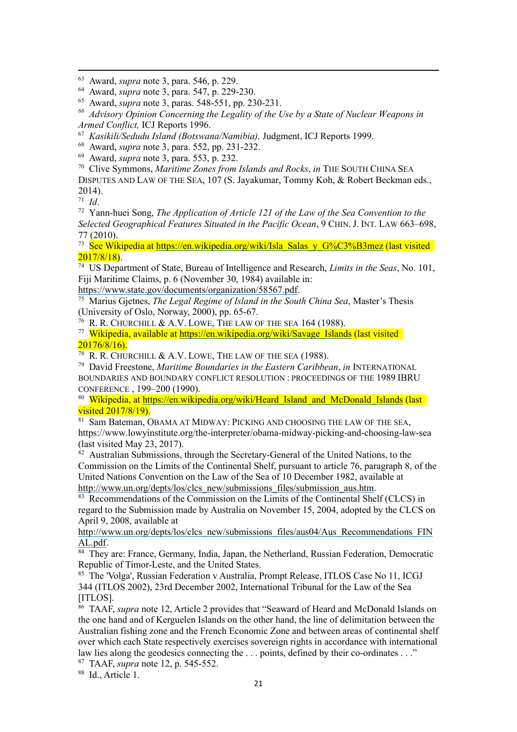<span id="page-20-3"></span>*<sup>66</sup> Advisory Opinion Concerning the Legality of the Use by a State of Nuclear Weapons in Armed Conflict,* ICJ Reports 1996.

<span id="page-20-4"></span><sup>67</sup> *Kasikili/Sedudu Island (Botswana/Namibia),* Judgment, ICJ Reports 1999.

<span id="page-20-7"></span><sup>70</sup> Clive Symmons, *Maritime Zones from Islands and Rocks*, *in* THE SOUTH CHINA SEA

DISPUTES AND LAW OF THE SEA, 107 (S. Jayakumar, Tommy Koh, & Robert Beckman eds., 2014).

<span id="page-20-8"></span><sup>71</sup> *Id*.

<span id="page-20-9"></span><sup>72</sup> Yann-huei Song, *The Application of Article 121 of the Law of the Sea Convention to the Selected Geographical Features Situated in the Pacific Ocean*, 9 CHIN. J. INT. LAW 663–698, 77 (2010).

<span id="page-20-10"></span><sup>73</sup> See Wikipedia at [https://en.wikipedia.org/wiki/Isla\\_Salas\\_y\\_G%C3%B3mez](https://en.wikipedia.org/wiki/Isla_Salas_y_G%25C3%25B3mez) (last visited  $2017/8/18$ .

<span id="page-20-11"></span><sup>74</sup> US Department of State, Bureau of Intelligence and Research, *Limits in the Seas*, No. 101, Fiji Maritime Claims, p. 6 (November 30, 1984) available in:

[https://www.state.gov/documents/organization/58567.pdf.](https://www.state.gov/documents/organization/58567.pdf)

<span id="page-20-12"></span><sup>75</sup> Marius Gjetnes, *The Legal Regime of Island in the South China Sea*, Master's Thesis (University of Oslo, Norway, 2000), pp. 65-67.

<sup>76</sup> R. R. CHURCHILL & A.V. LOWE, THE LAW OF THE SEA 164 (1988).

<span id="page-20-14"></span><span id="page-20-13"></span><sup>77</sup> Wikipedia, available at [https://en.wikipedia.org/wiki/Savage\\_Islands](https://en.wikipedia.org/wiki/Savage_Islands) (last visited  $20176/8/16$ .

<span id="page-20-15"></span><sup>78</sup> R. R. CHURCHILL & A.V. LOWE, THE LAW OF THE SEA (1988).

<span id="page-20-16"></span><sup>79</sup> David Freestone, *Maritime Boundaries in the Eastern Caribbean*, *in* INTERNATIONAL BOUNDARIES AND BOUNDARY CONFLICT RESOLUTION : PROCEEDINGS OF THE 1989 IBRU CONFERENCE , 199–200 (1990).

<span id="page-20-17"></span>80 Wikipedia, at [https://en.wikipedia.org/wiki/Heard\\_Island\\_and\\_McDonald\\_Islands](https://en.wikipedia.org/wiki/Heard_Island_and_McDonald_Islands) (last visited 2017/8/19).

<span id="page-20-18"></span>81 Sam Bateman, OBAMA AT MIDWAY: PICKING AND CHOOSING THE LAW OF THE SEA, https://www.lowyinstitute.org/the-interpreter/obama-midway-picking-and-choosing-law-sea (last visited May 23, 2017).

<span id="page-20-19"></span> $82$  Australian Submissions, through the Secretary-General of the United Nations, to the Commission on the Limits of the Continental Shelf, pursuant to article 76, paragraph 8, of the United Nations Convention on the Law of the Sea of 10 December 1982, available at http://www.un.org/depts/los/clcs\_new/submissions\_files/submission\_aus.htm.

<span id="page-20-20"></span><sup>83</sup> Recommendations of the Commission on the Limits of the Continental Shelf (CLCS) in regard to the Submission made by Australia on November 15, 2004, adopted by the CLCS on April 9, 2008, available at

http://www.un.org/depts/los/clcs\_new/submissions\_files/aus04/Aus\_Recommendations\_FIN AL.pdf.

<span id="page-20-21"></span><sup>84</sup> They are: France, Germany, India, Japan, the Netherland, Russian Federation, Democratic Republic of Timor-Leste, and the United States.

<span id="page-20-22"></span><sup>85</sup> The 'Volga', Russian Federation v Australia, Prompt Release, ITLOS Case No 11, ICGJ 344 (ITLOS 2002), 23rd December 2002, International Tribunal for the Law of the Sea [ITLOS].

<span id="page-20-23"></span><sup>86</sup> TAAF, *supra* note 12, Article 2 provides that "Seaward of Heard and McDonald Islands on the one hand and of Kerguelen Islands on the other hand, the line of delimitation between the Australian fishing zone and the French Economic Zone and between areas of continental shelf over which each State respectively exercises sovereign rights in accordance with international law lies along the geodesics connecting the . . . points, defined by their co-ordinates . . ."

<span id="page-20-24"></span><sup>87</sup> TAAF, *supra* note 12, p. 545-552.

<span id="page-20-25"></span><sup>88</sup> Id., Article 1.

<span id="page-20-0"></span><sup>63</sup> Award, *supra* note 3, para. 546, p. 229.

<span id="page-20-1"></span><sup>64</sup> Award, *supra* note 3, para. 547, p. 229-230.

<span id="page-20-2"></span><sup>65</sup> Award, *supra* note 3, paras. 548-551, pp. 230-231.

<span id="page-20-5"></span><sup>68</sup> Award, *supra* note 3, para. 552, pp. 231-232.

<span id="page-20-6"></span><sup>69</sup> Award, *supra* note 3, para. 553, p. 232.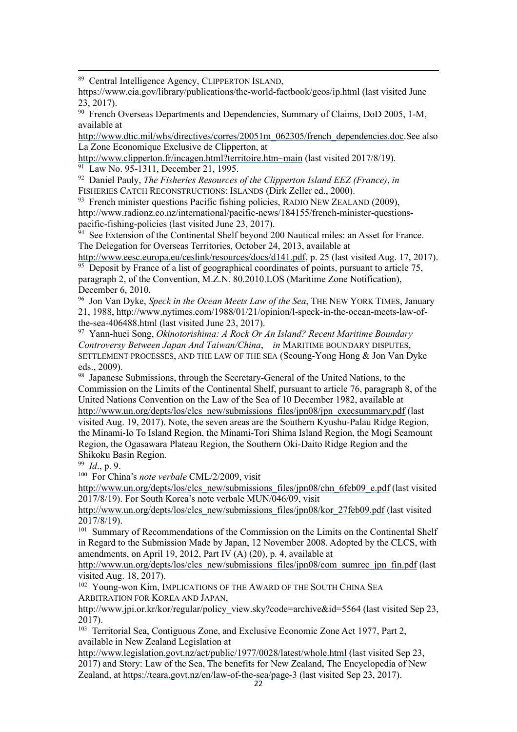<span id="page-21-0"></span><sup>89</sup> Central Intelligence Agency, CLIPPERTON ISLAND,

https://www.cia.gov/library/publications/the-world-factbook/geos/ip.html (last visited June 23, 2017).

<span id="page-21-1"></span><sup>90</sup> French Overseas Departments and Dependencies, Summary of Claims, DoD 2005, 1-M, available at

http://www.dtic.mil/whs/directives/corres/20051m\_062305/french\_dependencies.doc.See also La Zone Economique Exclusive de Clipperton, at

http://www.clipperton.fr/incagen.html?territoire.htm~main (last visited 2017/8/19). <sup>91</sup> Law No. 95-1311, December 21, 1995.

<span id="page-21-3"></span><span id="page-21-2"></span><sup>92</sup> Daniel Pauly, *The Fisheries Resources of the Clipperton Island EEZ (France)*, *in* FISHERIES CATCH RECONSTRUCTIONS: ISLANDS (Dirk Zeller ed., 2000).

<span id="page-21-4"></span> $93$  French minister questions Pacific fishing policies, RADIO NEW ZEALAND (2009), http://www.radionz.co.nz/international/pacific-news/184155/french-minister-questionspacific-fishing-policies (last visited June 23, 2017).

<span id="page-21-5"></span><sup>94</sup> See Extension of the Continental Shelf beyond 200 Nautical miles: an Asset for France. The Delegation for Overseas Territories, October 24, 2013, available at

[http://www.eesc.europa.eu/ceslink/resources/docs/d141.pdf,](http://www.eesc.europa.eu/ceslink/resources/docs/d141.pdf) p. 25 (last visited Aug. 17, 2017).  $95$  Deposit by France of a list of geographical coordinates of points, pursuant to article 75,

<span id="page-21-6"></span>paragraph 2, of the Convention, M.Z.N. 80.2010.LOS (Maritime Zone Notification), December 6, 2010.

<span id="page-21-7"></span><sup>96</sup> Jon Van Dyke, *Speck in the Ocean Meets Law of the Sea*, THE NEW YORK TIMES, January 21, 1988, http://www.nytimes.com/1988/01/21/opinion/l-speck-in-the-ocean-meets-law-ofthe-sea-406488.html (last visited June 23, 2017).

<span id="page-21-8"></span><sup>97</sup> Yann-huei Song, *Okinotorishima: A Rock Or An Island? Recent Maritime Boundary Controversy Between Japan And Taiwan/China*, *in* MARITIME BOUNDARY DISPUTES, SETTLEMENT PROCESSES, AND THE LAW OF THE SEA (Seoung-Yong Hong & Jon Van Dyke eds., 2009).

<span id="page-21-9"></span><sup>98</sup> Japanese Submissions, through the Secretary-General of the United Nations, to the Commission on the Limits of the Continental Shelf, pursuant to article 76, paragraph 8, of the United Nations Convention on the Law of the Sea of 10 December 1982, available at [http://www.un.org/depts/los/clcs\\_new/submissions\\_files/jpn08/jpn\\_execsummary.pdf](http://www.un.org/depts/los/clcs_new/submissions_files/jpn08/jpn_execsummary.pdf) (last visited Aug. 19, 2017). Note, the seven areas are the Southern Kyushu-Palau Ridge Region, the Minami-Io To Island Region, the Minami-Tori Shima Island Region, the Mogi Seamount Region, the Ogasawara Plateau Region, the Southern Oki-Daito Ridge Region and the Shikoku Basin Region.

<span id="page-21-10"></span><sup>99</sup> *Id*., p. 9.

<span id="page-21-11"></span><sup>100</sup> For China's *note verbale* CML/2/2009, visit

http://www.un.org/depts/los/clcs\_new/submissions\_files/jpn08/chn\_6feb09\_e.pdf (last visited 2017/8/19). For South Korea's note verbale MUN/046/09, visit

http://www.un.org/depts/los/clcs\_new/submissions\_files/jpn08/kor\_27feb09.pdf (last visited 2017/8/19).

<span id="page-21-12"></span><sup>101</sup> Summary of Recommendations of the Commission on the Limits on the Continental Shelf in Regard to the Submission Made by Japan, 12 November 2008. Adopted by the CLCS, with amendments, on April 19, 2012, Part IV (A) (20), p. 4, available at

[http://www.un.org/depts/los/clcs\\_new/submissions\\_files/jpn08/com\\_sumrec\\_jpn\\_fin.pdf](http://www.un.org/depts/los/clcs_new/submissions_files/jpn08/com_sumrec_jpn_fin.pdf) (last visited Aug. 18, 2017).

<span id="page-21-13"></span><sup>102</sup> Young-won Kim, IMPLICATIONS OF THE AWARD OF THE SOUTH CHINA SEA ARBITRATION FOR KOREA AND JAPAN,

http://www.jpi.or.kr/kor/regular/policy\_view.sky?code=archive&id=5564 (last visited Sep 23, 2017).

<span id="page-21-14"></span><sup>103</sup> Territorial Sea, Contiguous Zone, and Exclusive Economic Zone Act 1977, Part 2, available in New Zealand Legislation at

http://www.legislation.govt.nz/act/public/1977/0028/latest/whole.html (last visited Sep 23, 2017) and Story: Law of the Sea, The benefits for New Zealand, The Encyclopedia of New Zealand, at https://teara.govt.nz/en/law-of-the-sea/page-3 (last visited Sep 23, 2017).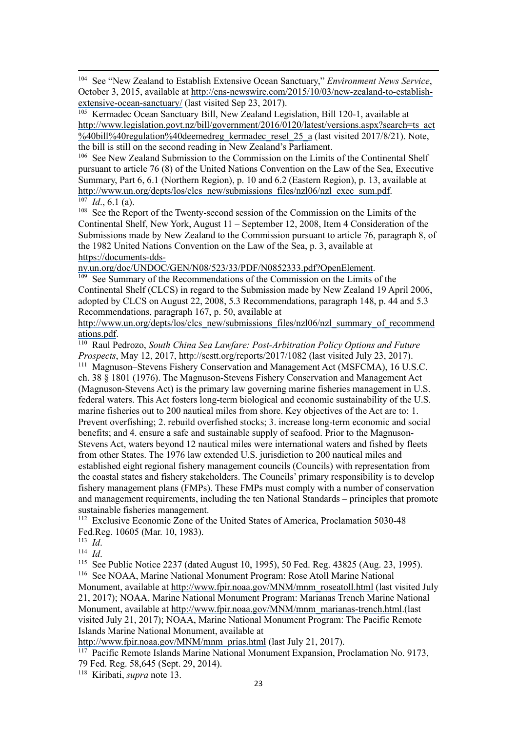<span id="page-22-0"></span><sup>104</sup> See "New Zealand to Establish Extensive Ocean Sanctuary," *Environment News Service*, October 3, 2015, available at [http://ens-newswire.com/2015/10/03/new-zealand-to-establish](http://ens-newswire.com/2015/10/03/new-zealand-to-establish-extensive-ocean-sanctuary/)[extensive-ocean-sanctuary/](http://ens-newswire.com/2015/10/03/new-zealand-to-establish-extensive-ocean-sanctuary/) (last visited Sep 23, 2017).

<span id="page-22-1"></span><sup>105</sup> Kermadec Ocean Sanctuary Bill, New Zealand Legislation, Bill 120-1, available at [http://www.legislation.govt.nz/bill/government/2016/0120/latest/versions.aspx?search=ts\\_act](http://www.legislation.govt.nz/bill/government/2016/0120/latest/versions.aspx?search=ts_act%2540bill%2540regulation%2540deemedreg_kermadec_resel_25_a) [%40bill%40regulation%40deemedreg\\_kermadec\\_resel\\_25\\_a](http://www.legislation.govt.nz/bill/government/2016/0120/latest/versions.aspx?search=ts_act%2540bill%2540regulation%2540deemedreg_kermadec_resel_25_a) (last visited 2017/8/21). Note, the bill is still on the second reading in New Zealand's Parliament.

<span id="page-22-2"></span><sup>106</sup> See New Zealand Submission to the Commission on the Limits of the Continental Shelf pursuant to article 76 (8) of the United Nations Convention on the Law of the Sea, Executive Summary, Part 6, 6.1 (Northern Region), p. 10 and 6.2 (Eastern Region), p. 13, available at http://www.un.org/depts/los/clcs\_new/submissions\_files/nzl06/nzl\_exec\_sum.pdf.  $107$  *Id.*, 6.1 (a).

<span id="page-22-4"></span><span id="page-22-3"></span><sup>108</sup> See the Report of the Twenty-second session of the Commission on the Limits of the Continental Shelf, New York, August 11 – September 12, 2008, Item 4 Consideration of the Submissions made by New Zealand to the Commission pursuant to article 76, paragraph 8, of the 1982 United Nations Convention on the Law of the Sea, p. 3, available at https://documents-dds-

ny.un.org/doc/UNDOC/GEN/N08/523/33/PDF/N0852333.pdf?OpenElement.

<span id="page-22-5"></span><sup>109</sup> See Summary of the Recommendations of the Commission on the Limits of the Continental Shelf (CLCS) in regard to the Submission made by New Zealand 19 April 2006, adopted by CLCS on August 22, 2008, 5.3 Recommendations, paragraph 148, p. 44 and 5.3 Recommendations, paragraph 167, p. 50, available at

http://www.un.org/depts/los/clcs\_new/submissions\_files/nzl06/nzl\_summary\_of\_recommend ations.pdf.

<span id="page-22-7"></span><span id="page-22-6"></span><sup>110</sup> Raul Pedrozo, *South China Sea Lawfare: Post-Arbitration Policy Options and Future Prospects*, May 12, 2017, http://scstt.org/reports/2017/1082 (last visited July 23, 2017). <sup>111</sup> Magnuson–Stevens Fishery Conservation and Management Act (MSFCMA), 16 U.S.C. ch. 38 § 1801 (1976). The Magnuson-Stevens Fishery Conservation and Management Act (Magnuson-Stevens Act) is the primary law governing marine fisheries management in U.S. federal waters. This Act fosters long-term biological and economic sustainability of the U.S. marine fisheries out to 200 nautical miles from shore. Key objectives of the Act are to: 1. Prevent overfishing; 2. rebuild overfished stocks; 3. increase long-term economic and social benefits; and 4. ensure a safe and sustainable supply of seafood. Prior to the Magnuson-Stevens Act, waters beyond 12 nautical miles were international waters and fished by fleets from other States. The 1976 law extended U.S. jurisdiction to 200 nautical miles and established eight regional fishery management councils (Councils) with representation from the coastal states and fishery stakeholders. The Councils' primary responsibility is to develop fishery management plans (FMPs). These FMPs must comply with a number of conservation and management requirements, including the ten National Standards – principles that promote sustainable fisheries management.

<span id="page-22-8"></span><sup>112</sup> Exclusive Economic Zone of the United States of America, Proclamation 5030-48 Fed.Reg. 10605 (Mar. 10, 1983).

<span id="page-22-9"></span><sup>113</sup> *Id*.

<span id="page-22-10"></span><sup>114</sup> *Id*.

<span id="page-22-11"></span><sup>115</sup> See Public Notice 2237 (dated August 10, 1995), 50 Fed. Reg. 43825 (Aug. 23, 1995).

<span id="page-22-12"></span><sup>116</sup> See NOAA, Marine National Monument Program: Rose Atoll Marine National

Monument, available at http://www.fpir.noaa.gov/MNM/mnm\_roseatoll.html (last visited July 21, 2017); NOAA, Marine National Monument Program: Marianas Trench Marine National Monument, available at http://www.fpir.noaa.gov/MNM/mnm\_marianas-trench.html.(last visited July 21, 2017); NOAA, Marine National Monument Program: The Pacific Remote Islands Marine National Monument, available at

[http://www.fpir.noaa.gov/MNM/mnm\\_prias.html](http://www.fpir.noaa.gov/MNM/mnm_prias.html) (last July 21, 2017).

<span id="page-22-13"></span> $117$  Pacific Remote Islands Marine National Monument Expansion, Proclamation No. 9173,

79 Fed. Reg. 58,645 (Sept. 29, 2014).

<span id="page-22-14"></span><sup>118</sup> Kiribati, *supra* note 13.